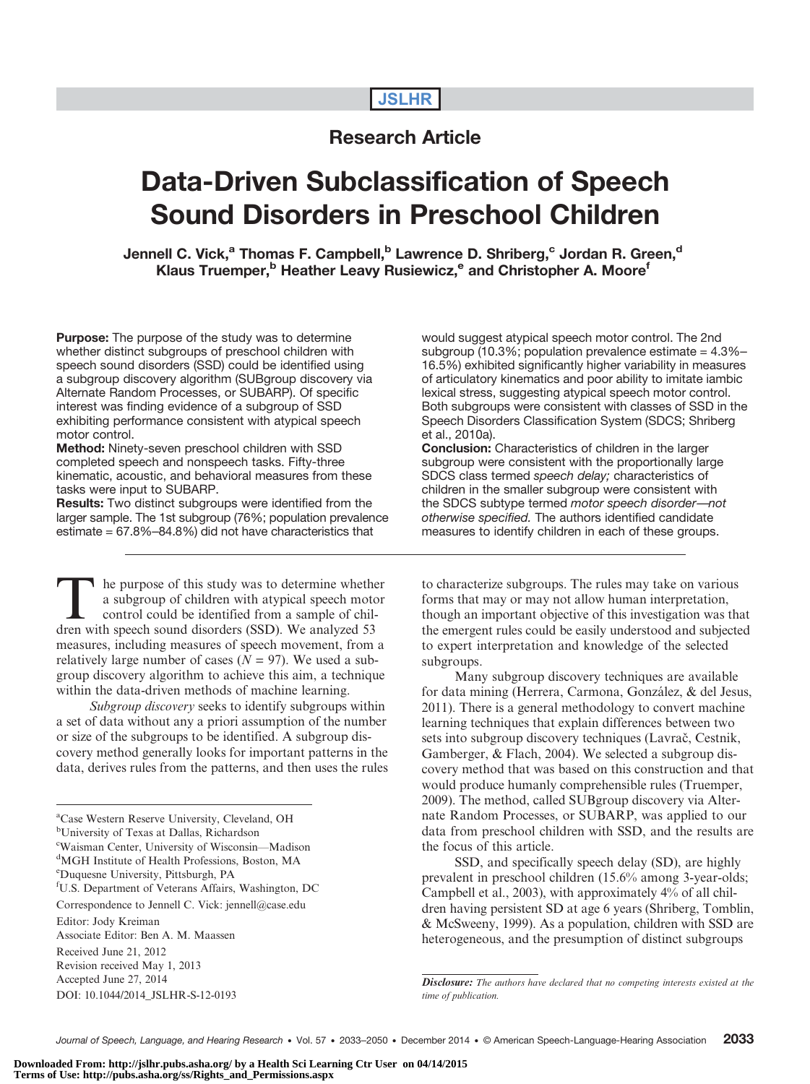# **JSLHR**

# Research Article

# Data-Driven Subclassification of Speech Sound Disorders in Preschool Children

Jennell C. Vick,<sup>a</sup> Thomas F. Campbell,<sup>b</sup> Lawrence D. Shriberg,<sup>c</sup> Jordan R. Green,<sup>d</sup> Klaus Truemper,<sup>b</sup> Heather Leavy Rusiewicz,<sup>e</sup> and Christopher A. Moore<sup>f</sup>

**Purpose:** The purpose of the study was to determine whether distinct subgroups of preschool children with speech sound disorders (SSD) could be identified using a subgroup discovery algorithm (SUBgroup discovery via Alternate Random Processes, or SUBARP). Of specific interest was finding evidence of a subgroup of SSD exhibiting performance consistent with atypical speech motor control.

Method: Ninety-seven preschool children with SSD completed speech and nonspeech tasks. Fifty-three kinematic, acoustic, and behavioral measures from these tasks were input to SUBARP.

Results: Two distinct subgroups were identified from the larger sample. The 1st subgroup (76%; population prevalence estimate = 67.8%–84.8%) did not have characteristics that

the purpose of this study was to determine whether a subgroup of children with atypical speech motor control could be identified from a sample of children with speech sound disorders (SSD). We analyzed 53 measures, including measures of speech movement, from a relatively large number of cases ( $N = 97$ ). We used a subgroup discovery algorithm to achieve this aim, a technique within the data-driven methods of machine learning.

Subgroup discovery seeks to identify subgroups within a set of data without any a priori assumption of the number or size of the subgroups to be identified. A subgroup discovery method generally looks for important patterns in the data, derives rules from the patterns, and then uses the rules would suggest atypical speech motor control. The 2nd subgroup (10.3%; population prevalence estimate = 4.3%– 16.5%) exhibited significantly higher variability in measures of articulatory kinematics and poor ability to imitate iambic lexical stress, suggesting atypical speech motor control. Both subgroups were consistent with classes of SSD in the Speech Disorders Classification System (SDCS; Shriberg et al., 2010a).

Conclusion: Characteristics of children in the larger subgroup were consistent with the proportionally large SDCS class termed speech delay; characteristics of children in the smaller subgroup were consistent with the SDCS subtype termed motor speech disorder*—*not otherwise specified. The authors identified candidate measures to identify children in each of these groups.

to characterize subgroups. The rules may take on various forms that may or may not allow human interpretation, though an important objective of this investigation was that the emergent rules could be easily understood and subjected to expert interpretation and knowledge of the selected subgroups.

Many subgroup discovery techniques are available for data mining (Herrera, Carmona, González, & del Jesus, 2011). There is a general methodology to convert machine learning techniques that explain differences between two sets into subgroup discovery techniques (Lavrač, Cestnik, Gamberger, & Flach, 2004). We selected a subgroup discovery method that was based on this construction and that would produce humanly comprehensible rules (Truemper, 2009). The method, called SUBgroup discovery via Alternate Random Processes, or SUBARP, was applied to our data from preschool children with SSD, and the results are the focus of this article.

SSD, and specifically speech delay (SD), are highly prevalent in preschool children (15.6% among 3-year-olds; Campbell et al., 2003), with approximately 4% of all children having persistent SD at age 6 years (Shriberg, Tomblin, & McSweeny, 1999). As a population, children with SSD are heterogeneous, and the presumption of distinct subgroups

a Case Western Reserve University, Cleveland, OH

b University of Texas at Dallas, Richardson

<sup>&</sup>lt;sup>c</sup>Waisman Center, University of Wisconsin—Madison<br><sup>d</sup>MGH Institute of Health Professions, Boston, MA

<sup>&</sup>lt;sup>d</sup>MGH Institute of Health Professions, Boston, MA e Duquesne University, Pittsburgh, PA

f U.S. Department of Veterans Affairs, Washington, DC

Correspondence to Jennell C. Vick: jennell@case.edu

Editor: Jody Kreiman

Associate Editor: Ben A. M. Maassen

Received June 21, 2012

Revision received May 1, 2013

Accepted June 27, 2014

DOI: 10.1044/2014\_JSLHR-S-12-0193

Disclosure: The authors have declared that no competing interests existed at the time of publication.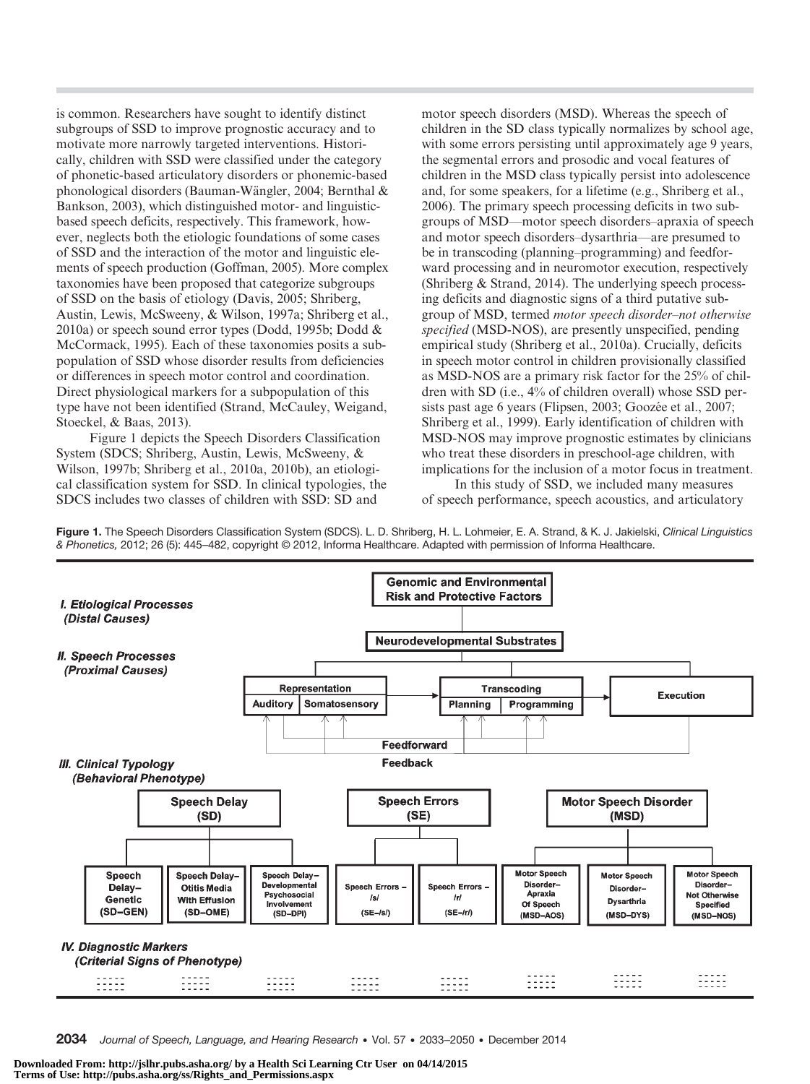is common. Researchers have sought to identify distinct subgroups of SSD to improve prognostic accuracy and to motivate more narrowly targeted interventions. Historically, children with SSD were classified under the category of phonetic-based articulatory disorders or phonemic-based phonological disorders (Bauman-Wängler, 2004; Bernthal & Bankson, 2003), which distinguished motor- and linguisticbased speech deficits, respectively. This framework, however, neglects both the etiologic foundations of some cases of SSD and the interaction of the motor and linguistic elements of speech production (Goffman, 2005). More complex taxonomies have been proposed that categorize subgroups of SSD on the basis of etiology (Davis, 2005; Shriberg, Austin, Lewis, McSweeny, & Wilson, 1997a; Shriberg et al., 2010a) or speech sound error types (Dodd, 1995b; Dodd & McCormack, 1995). Each of these taxonomies posits a subpopulation of SSD whose disorder results from deficiencies or differences in speech motor control and coordination. Direct physiological markers for a subpopulation of this type have not been identified (Strand, McCauley, Weigand, Stoeckel, & Baas, 2013).

Figure 1 depicts the Speech Disorders Classification System (SDCS; Shriberg, Austin, Lewis, McSweeny, & Wilson, 1997b; Shriberg et al., 2010a, 2010b), an etiological classification system for SSD. In clinical typologies, the SDCS includes two classes of children with SSD: SD and

motor speech disorders (MSD). Whereas the speech of children in the SD class typically normalizes by school age, with some errors persisting until approximately age 9 years, the segmental errors and prosodic and vocal features of children in the MSD class typically persist into adolescence and, for some speakers, for a lifetime (e.g., Shriberg et al., 2006). The primary speech processing deficits in two subgroups of MSD—motor speech disorders–apraxia of speech and motor speech disorders–dysarthria—are presumed to be in transcoding (planning–programming) and feedforward processing and in neuromotor execution, respectively (Shriberg & Strand, 2014). The underlying speech processing deficits and diagnostic signs of a third putative subgroup of MSD, termed motor speech disorder–not otherwise specified (MSD-NOS), are presently unspecified, pending empirical study (Shriberg et al., 2010a). Crucially, deficits in speech motor control in children provisionally classified as MSD-NOS are a primary risk factor for the 25% of children with SD (i.e., 4% of children overall) whose SSD persists past age 6 years (Flipsen, 2003; Goozée et al., 2007; Shriberg et al., 1999). Early identification of children with MSD-NOS may improve prognostic estimates by clinicians who treat these disorders in preschool-age children, with implications for the inclusion of a motor focus in treatment.

In this study of SSD, we included many measures of speech performance, speech acoustics, and articulatory

Figure 1. The Speech Disorders Classification System (SDCS). L. D. Shriberg, H. L. Lohmeier, E. A. Strand, & K. J. Jakielski, Clinical Linguistics & Phonetics, 2012; 26 (5): 445–482, copyright © 2012, Informa Healthcare. Adapted with permission of Informa Healthcare.



2034 Journal of Speech, Language, and Hearing Research • Vol. 57 • 2033-2050 • December 2014

**Downloaded From: http://jslhr.pubs.asha.org/ by a Health Sci Learning Ctr User on 04/14/2015 Terms of Use: http://pubs.asha.org/ss/Rights\_and\_Permissions.aspx**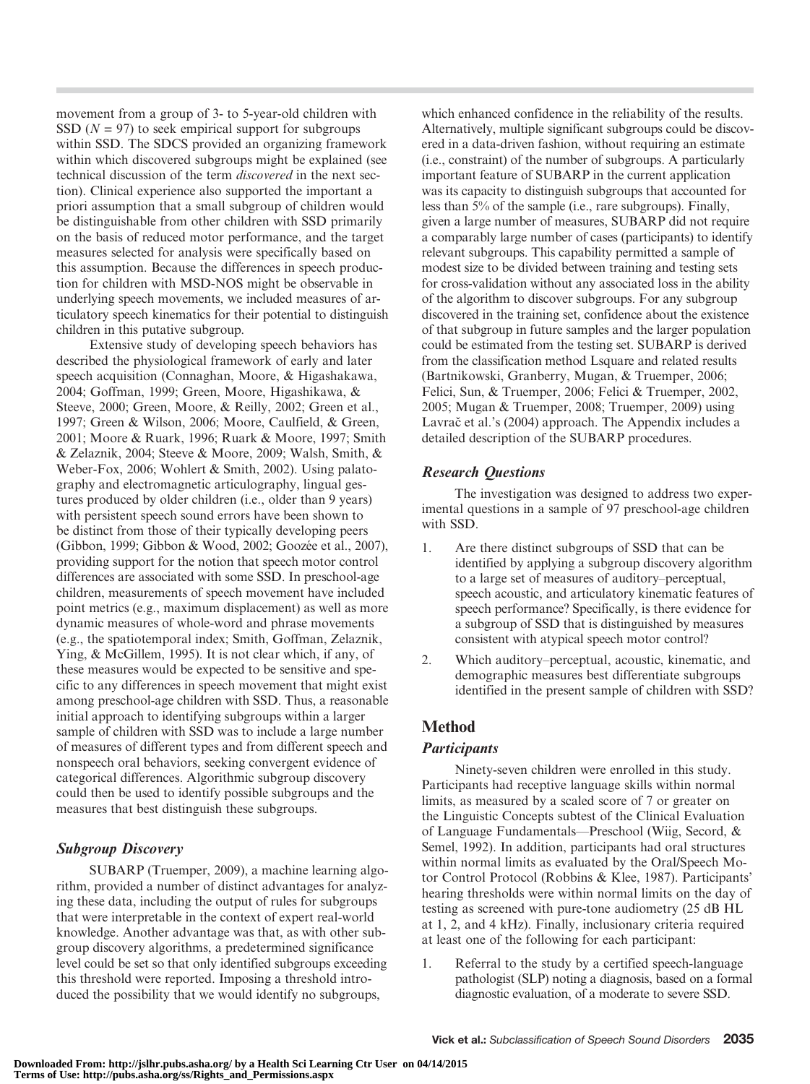movement from a group of 3- to 5-year-old children with SSD ( $N = 97$ ) to seek empirical support for subgroups within SSD. The SDCS provided an organizing framework within which discovered subgroups might be explained (see technical discussion of the term discovered in the next section). Clinical experience also supported the important a priori assumption that a small subgroup of children would be distinguishable from other children with SSD primarily on the basis of reduced motor performance, and the target measures selected for analysis were specifically based on this assumption. Because the differences in speech production for children with MSD-NOS might be observable in underlying speech movements, we included measures of articulatory speech kinematics for their potential to distinguish children in this putative subgroup.

Extensive study of developing speech behaviors has described the physiological framework of early and later speech acquisition (Connaghan, Moore, & Higashakawa, 2004; Goffman, 1999; Green, Moore, Higashikawa, & Steeve, 2000; Green, Moore, & Reilly, 2002; Green et al., 1997; Green & Wilson, 2006; Moore, Caulfield, & Green, 2001; Moore & Ruark, 1996; Ruark & Moore, 1997; Smith & Zelaznik, 2004; Steeve & Moore, 2009; Walsh, Smith, & Weber-Fox, 2006; Wohlert & Smith, 2002). Using palatography and electromagnetic articulography, lingual gestures produced by older children (i.e., older than 9 years) with persistent speech sound errors have been shown to be distinct from those of their typically developing peers (Gibbon, 1999; Gibbon & Wood, 2002; Goozée et al., 2007), providing support for the notion that speech motor control differences are associated with some SSD. In preschool-age children, measurements of speech movement have included point metrics (e.g., maximum displacement) as well as more dynamic measures of whole-word and phrase movements (e.g., the spatiotemporal index; Smith, Goffman, Zelaznik, Ying, & McGillem, 1995). It is not clear which, if any, of these measures would be expected to be sensitive and specific to any differences in speech movement that might exist among preschool-age children with SSD. Thus, a reasonable initial approach to identifying subgroups within a larger sample of children with SSD was to include a large number of measures of different types and from different speech and nonspeech oral behaviors, seeking convergent evidence of categorical differences. Algorithmic subgroup discovery could then be used to identify possible subgroups and the measures that best distinguish these subgroups.

## Subgroup Discovery

SUBARP (Truemper, 2009), a machine learning algorithm, provided a number of distinct advantages for analyzing these data, including the output of rules for subgroups that were interpretable in the context of expert real-world knowledge. Another advantage was that, as with other subgroup discovery algorithms, a predetermined significance level could be set so that only identified subgroups exceeding this threshold were reported. Imposing a threshold introduced the possibility that we would identify no subgroups,

which enhanced confidence in the reliability of the results. Alternatively, multiple significant subgroups could be discovered in a data-driven fashion, without requiring an estimate (i.e., constraint) of the number of subgroups. A particularly important feature of SUBARP in the current application was its capacity to distinguish subgroups that accounted for less than 5% of the sample (i.e., rare subgroups). Finally, given a large number of measures, SUBARP did not require a comparably large number of cases (participants) to identify relevant subgroups. This capability permitted a sample of modest size to be divided between training and testing sets for cross-validation without any associated loss in the ability of the algorithm to discover subgroups. For any subgroup discovered in the training set, confidence about the existence of that subgroup in future samples and the larger population could be estimated from the testing set. SUBARP is derived from the classification method Lsquare and related results (Bartnikowski, Granberry, Mugan, & Truemper, 2006; Felici, Sun, & Truemper, 2006; Felici & Truemper, 2002, 2005; Mugan & Truemper, 2008; Truemper, 2009) using Lavrač et al.'s (2004) approach. The Appendix includes a detailed description of the SUBARP procedures.

## Research Questions

The investigation was designed to address two experimental questions in a sample of 97 preschool-age children with SSD.

- 1. Are there distinct subgroups of SSD that can be identified by applying a subgroup discovery algorithm to a large set of measures of auditory–perceptual, speech acoustic, and articulatory kinematic features of speech performance? Specifically, is there evidence for a subgroup of SSD that is distinguished by measures consistent with atypical speech motor control?
- 2. Which auditory–perceptual, acoustic, kinematic, and demographic measures best differentiate subgroups identified in the present sample of children with SSD?

## Method

## **Participants**

Ninety-seven children were enrolled in this study. Participants had receptive language skills within normal limits, as measured by a scaled score of 7 or greater on the Linguistic Concepts subtest of the Clinical Evaluation of Language Fundamentals—Preschool (Wiig, Secord, & Semel, 1992). In addition, participants had oral structures within normal limits as evaluated by the Oral/Speech Motor Control Protocol (Robbins & Klee, 1987). Participants' hearing thresholds were within normal limits on the day of testing as screened with pure-tone audiometry (25 dB HL at 1, 2, and 4 kHz). Finally, inclusionary criteria required at least one of the following for each participant:

1. Referral to the study by a certified speech-language pathologist (SLP) noting a diagnosis, based on a formal diagnostic evaluation, of a moderate to severe SSD.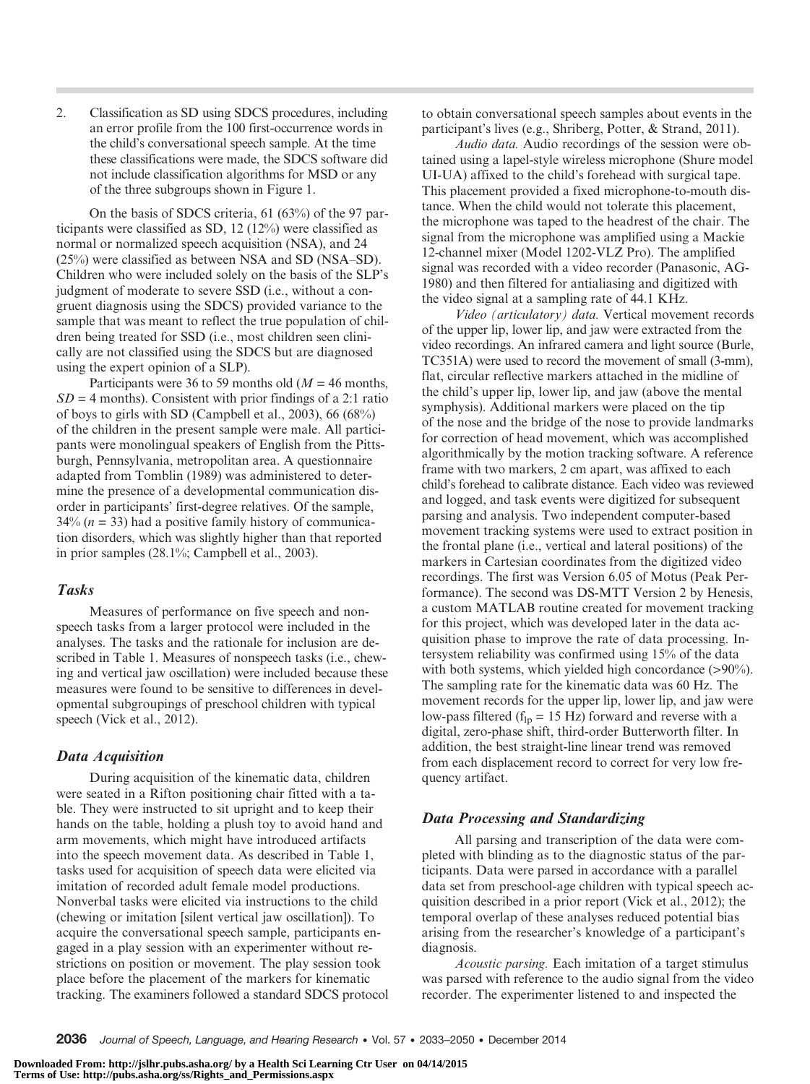2. Classification as SD using SDCS procedures, including an error profile from the 100 first-occurrence words in the child's conversational speech sample. At the time these classifications were made, the SDCS software did not include classification algorithms for MSD or any of the three subgroups shown in Figure 1.

On the basis of SDCS criteria, 61 (63%) of the 97 participants were classified as SD, 12 (12%) were classified as normal or normalized speech acquisition (NSA), and 24 (25%) were classified as between NSA and SD (NSA–SD). Children who were included solely on the basis of the SLP's judgment of moderate to severe SSD (i.e., without a congruent diagnosis using the SDCS) provided variance to the sample that was meant to reflect the true population of children being treated for SSD (i.e., most children seen clinically are not classified using the SDCS but are diagnosed using the expert opinion of a SLP).

Participants were 36 to 59 months old ( $M = 46$  months,  $SD = 4$  months). Consistent with prior findings of a 2:1 ratio of boys to girls with SD (Campbell et al., 2003), 66 (68%) of the children in the present sample were male. All participants were monolingual speakers of English from the Pittsburgh, Pennsylvania, metropolitan area. A questionnaire adapted from Tomblin (1989) was administered to determine the presence of a developmental communication disorder in participants' first-degree relatives. Of the sample,  $34\%$  ( $n = 33$ ) had a positive family history of communication disorders, which was slightly higher than that reported in prior samples (28.1%; Campbell et al., 2003).

## Tasks

Measures of performance on five speech and nonspeech tasks from a larger protocol were included in the analyses. The tasks and the rationale for inclusion are described in Table 1. Measures of nonspeech tasks (i.e., chewing and vertical jaw oscillation) were included because these measures were found to be sensitive to differences in developmental subgroupings of preschool children with typical speech (Vick et al., 2012).

## Data Acquisition

During acquisition of the kinematic data, children were seated in a Rifton positioning chair fitted with a table. They were instructed to sit upright and to keep their hands on the table, holding a plush toy to avoid hand and arm movements, which might have introduced artifacts into the speech movement data. As described in Table 1, tasks used for acquisition of speech data were elicited via imitation of recorded adult female model productions. Nonverbal tasks were elicited via instructions to the child (chewing or imitation [silent vertical jaw oscillation]). To acquire the conversational speech sample, participants engaged in a play session with an experimenter without restrictions on position or movement. The play session took place before the placement of the markers for kinematic tracking. The examiners followed a standard SDCS protocol to obtain conversational speech samples about events in the participant's lives (e.g., Shriberg, Potter, & Strand, 2011).

Audio data. Audio recordings of the session were obtained using a lapel-style wireless microphone (Shure model UI-UA) affixed to the child's forehead with surgical tape. This placement provided a fixed microphone-to-mouth distance. When the child would not tolerate this placement, the microphone was taped to the headrest of the chair. The signal from the microphone was amplified using a Mackie 12-channel mixer (Model 1202-VLZ Pro). The amplified signal was recorded with a video recorder (Panasonic, AG-1980) and then filtered for antialiasing and digitized with the video signal at a sampling rate of 44.1 KHz.

Video (articulatory) data. Vertical movement records of the upper lip, lower lip, and jaw were extracted from the video recordings. An infrared camera and light source (Burle, TC351A) were used to record the movement of small (3-mm), flat, circular reflective markers attached in the midline of the child's upper lip, lower lip, and jaw (above the mental symphysis). Additional markers were placed on the tip of the nose and the bridge of the nose to provide landmarks for correction of head movement, which was accomplished algorithmically by the motion tracking software. A reference frame with two markers, 2 cm apart, was affixed to each child's forehead to calibrate distance. Each video was reviewed and logged, and task events were digitized for subsequent parsing and analysis. Two independent computer-based movement tracking systems were used to extract position in the frontal plane (i.e., vertical and lateral positions) of the markers in Cartesian coordinates from the digitized video recordings. The first was Version 6.05 of Motus (Peak Performance). The second was DS-MTT Version 2 by Henesis, a custom MATLAB routine created for movement tracking for this project, which was developed later in the data acquisition phase to improve the rate of data processing. Intersystem reliability was confirmed using 15% of the data with both systems, which yielded high concordance (>90%). The sampling rate for the kinematic data was 60 Hz. The movement records for the upper lip, lower lip, and jaw were low-pass filtered ( $f_{lp} = 15$  Hz) forward and reverse with a digital, zero-phase shift, third-order Butterworth filter. In addition, the best straight-line linear trend was removed from each displacement record to correct for very low frequency artifact.

#### Data Processing and Standardizing

All parsing and transcription of the data were completed with blinding as to the diagnostic status of the participants. Data were parsed in accordance with a parallel data set from preschool-age children with typical speech acquisition described in a prior report (Vick et al., 2012); the temporal overlap of these analyses reduced potential bias arising from the researcher's knowledge of a participant's diagnosis.

Acoustic parsing. Each imitation of a target stimulus was parsed with reference to the audio signal from the video recorder. The experimenter listened to and inspected the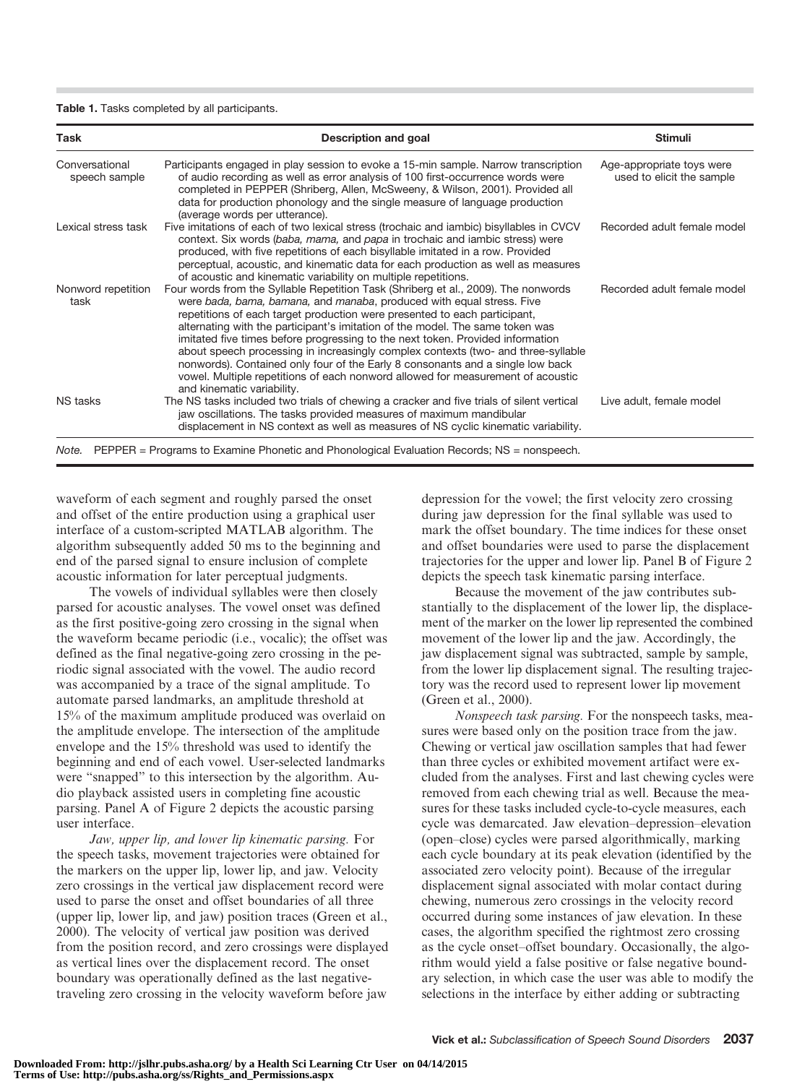#### Table 1. Tasks completed by all participants.

| Task                            | Description and goal                                                                                                                                                                                                                                                                                                                                                                                                                                                                                                                                                                                                                                                                                | <b>Stimuli</b>                                         |
|---------------------------------|-----------------------------------------------------------------------------------------------------------------------------------------------------------------------------------------------------------------------------------------------------------------------------------------------------------------------------------------------------------------------------------------------------------------------------------------------------------------------------------------------------------------------------------------------------------------------------------------------------------------------------------------------------------------------------------------------------|--------------------------------------------------------|
| Conversational<br>speech sample | Participants engaged in play session to evoke a 15-min sample. Narrow transcription<br>of audio recording as well as error analysis of 100 first-occurrence words were<br>completed in PEPPER (Shriberg, Allen, McSweeny, & Wilson, 2001). Provided all<br>data for production phonology and the single measure of language production<br>(average words per utterance).                                                                                                                                                                                                                                                                                                                            | Age-appropriate toys were<br>used to elicit the sample |
| Lexical stress task             | Five imitations of each of two lexical stress (trochaic and iambic) bisyllables in CVCV<br>context. Six words (baba, mama, and papa in trochaic and iambic stress) were<br>produced, with five repetitions of each bisyllable imitated in a row. Provided<br>perceptual, acoustic, and kinematic data for each production as well as measures<br>of acoustic and kinematic variability on multiple repetitions.                                                                                                                                                                                                                                                                                     | Recorded adult female model                            |
| Nonword repetition<br>task      | Four words from the Syllable Repetition Task (Shriberg et al., 2009). The nonwords<br>were bada, bama, bamana, and manaba, produced with equal stress. Five<br>repetitions of each target production were presented to each participant,<br>alternating with the participant's imitation of the model. The same token was<br>imitated five times before progressing to the next token. Provided information<br>about speech processing in increasingly complex contexts (two- and three-syllable<br>nonwords). Contained only four of the Early 8 consonants and a single low back<br>vowel. Multiple repetitions of each nonword allowed for measurement of acoustic<br>and kinematic variability. | Recorded adult female model                            |
| <b>NS</b> tasks                 | The NS tasks included two trials of chewing a cracker and five trials of silent vertical<br>jaw oscillations. The tasks provided measures of maximum mandibular<br>displacement in NS context as well as measures of NS cyclic kinematic variability.                                                                                                                                                                                                                                                                                                                                                                                                                                               | Live adult, female model                               |

waveform of each segment and roughly parsed the onset and offset of the entire production using a graphical user interface of a custom-scripted MATLAB algorithm. The algorithm subsequently added 50 ms to the beginning and end of the parsed signal to ensure inclusion of complete acoustic information for later perceptual judgments.

The vowels of individual syllables were then closely parsed for acoustic analyses. The vowel onset was defined as the first positive-going zero crossing in the signal when the waveform became periodic (i.e., vocalic); the offset was defined as the final negative-going zero crossing in the periodic signal associated with the vowel. The audio record was accompanied by a trace of the signal amplitude. To automate parsed landmarks, an amplitude threshold at 15% of the maximum amplitude produced was overlaid on the amplitude envelope. The intersection of the amplitude envelope and the 15% threshold was used to identify the beginning and end of each vowel. User-selected landmarks were "snapped" to this intersection by the algorithm. Audio playback assisted users in completing fine acoustic parsing. Panel A of Figure 2 depicts the acoustic parsing user interface.

Jaw, upper lip, and lower lip kinematic parsing. For the speech tasks, movement trajectories were obtained for the markers on the upper lip, lower lip, and jaw. Velocity zero crossings in the vertical jaw displacement record were used to parse the onset and offset boundaries of all three (upper lip, lower lip, and jaw) position traces (Green et al., 2000). The velocity of vertical jaw position was derived from the position record, and zero crossings were displayed as vertical lines over the displacement record. The onset boundary was operationally defined as the last negativetraveling zero crossing in the velocity waveform before jaw

depression for the vowel; the first velocity zero crossing during jaw depression for the final syllable was used to mark the offset boundary. The time indices for these onset and offset boundaries were used to parse the displacement trajectories for the upper and lower lip. Panel B of Figure 2 depicts the speech task kinematic parsing interface.

Because the movement of the jaw contributes substantially to the displacement of the lower lip, the displacement of the marker on the lower lip represented the combined movement of the lower lip and the jaw. Accordingly, the jaw displacement signal was subtracted, sample by sample, from the lower lip displacement signal. The resulting trajectory was the record used to represent lower lip movement (Green et al., 2000).

Nonspeech task parsing. For the nonspeech tasks, measures were based only on the position trace from the jaw. Chewing or vertical jaw oscillation samples that had fewer than three cycles or exhibited movement artifact were excluded from the analyses. First and last chewing cycles were removed from each chewing trial as well. Because the measures for these tasks included cycle-to-cycle measures, each cycle was demarcated. Jaw elevation–depression–elevation (open–close) cycles were parsed algorithmically, marking each cycle boundary at its peak elevation (identified by the associated zero velocity point). Because of the irregular displacement signal associated with molar contact during chewing, numerous zero crossings in the velocity record occurred during some instances of jaw elevation. In these cases, the algorithm specified the rightmost zero crossing as the cycle onset–offset boundary. Occasionally, the algorithm would yield a false positive or false negative boundary selection, in which case the user was able to modify the selections in the interface by either adding or subtracting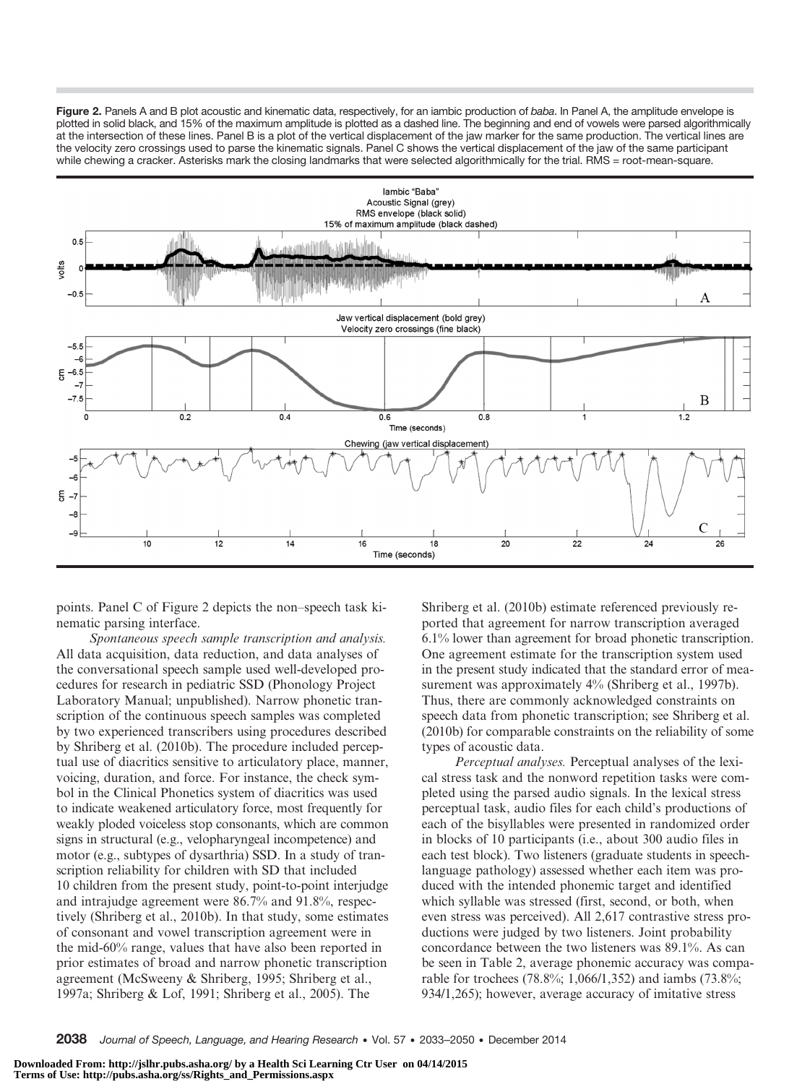Figure 2. Panels A and B plot acoustic and kinematic data, respectively, for an iambic production of baba. In Panel A, the amplitude envelope is plotted in solid black, and 15% of the maximum amplitude is plotted as a dashed line. The beginning and end of vowels were parsed algorithmically at the intersection of these lines. Panel B is a plot of the vertical displacement of the jaw marker for the same production. The vertical lines are the velocity zero crossings used to parse the kinematic signals. Panel C shows the vertical displacement of the jaw of the same participant while chewing a cracker. Asterisks mark the closing landmarks that were selected algorithmically for the trial. RMS = root-mean-square.



points. Panel C of Figure 2 depicts the non–speech task kinematic parsing interface.

Spontaneous speech sample transcription and analysis. All data acquisition, data reduction, and data analyses of the conversational speech sample used well-developed procedures for research in pediatric SSD (Phonology Project Laboratory Manual; unpublished). Narrow phonetic transcription of the continuous speech samples was completed by two experienced transcribers using procedures described by Shriberg et al. (2010b). The procedure included perceptual use of diacritics sensitive to articulatory place, manner, voicing, duration, and force. For instance, the check symbol in the Clinical Phonetics system of diacritics was used to indicate weakened articulatory force, most frequently for weakly ploded voiceless stop consonants, which are common signs in structural (e.g., velopharyngeal incompetence) and motor (e.g., subtypes of dysarthria) SSD. In a study of transcription reliability for children with SD that included 10 children from the present study, point-to-point interjudge and intrajudge agreement were 86.7% and 91.8%, respectively (Shriberg et al., 2010b). In that study, some estimates of consonant and vowel transcription agreement were in the mid-60% range, values that have also been reported in prior estimates of broad and narrow phonetic transcription agreement (McSweeny & Shriberg, 1995; Shriberg et al., 1997a; Shriberg & Lof, 1991; Shriberg et al., 2005). The

Shriberg et al. (2010b) estimate referenced previously reported that agreement for narrow transcription averaged 6.1% lower than agreement for broad phonetic transcription. One agreement estimate for the transcription system used in the present study indicated that the standard error of measurement was approximately  $4\%$  (Shriberg et al., 1997b). Thus, there are commonly acknowledged constraints on speech data from phonetic transcription; see Shriberg et al. (2010b) for comparable constraints on the reliability of some types of acoustic data.

Perceptual analyses. Perceptual analyses of the lexical stress task and the nonword repetition tasks were completed using the parsed audio signals. In the lexical stress perceptual task, audio files for each child's productions of each of the bisyllables were presented in randomized order in blocks of 10 participants (i.e., about 300 audio files in each test block). Two listeners (graduate students in speechlanguage pathology) assessed whether each item was produced with the intended phonemic target and identified which syllable was stressed (first, second, or both, when even stress was perceived). All 2,617 contrastive stress productions were judged by two listeners. Joint probability concordance between the two listeners was 89.1%. As can be seen in Table 2, average phonemic accuracy was comparable for trochees (78.8%; 1,066/1,352) and iambs (73.8%; 934/1,265); however, average accuracy of imitative stress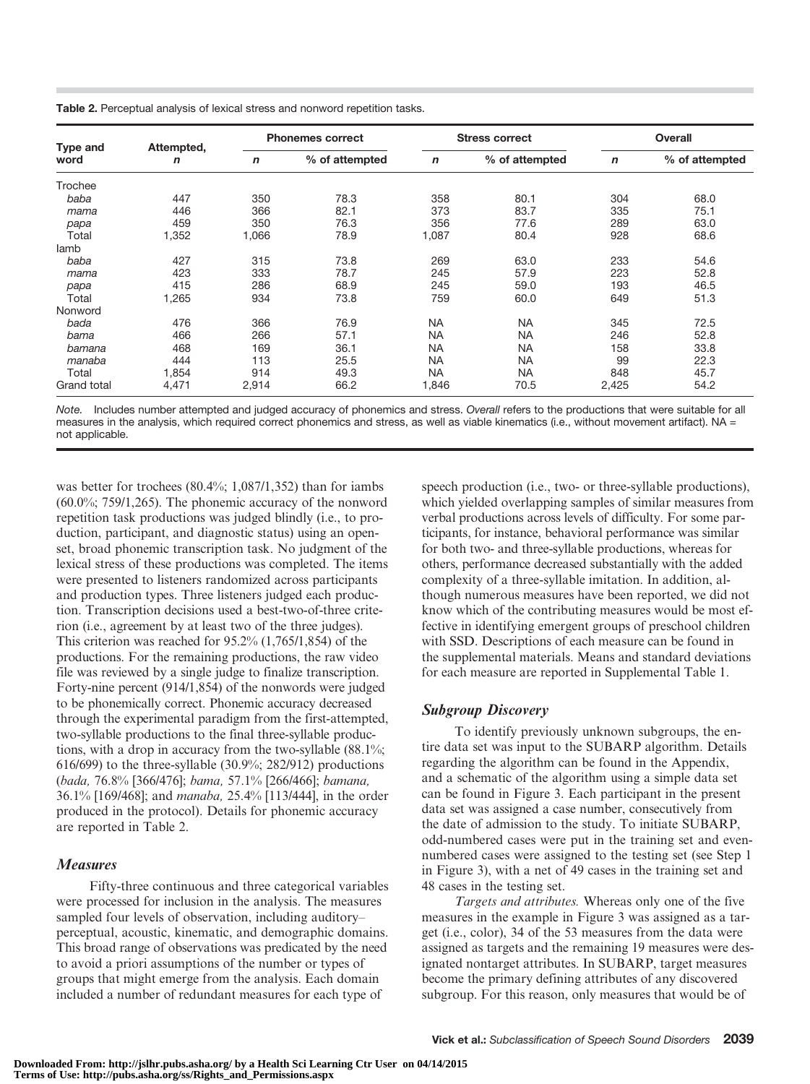Table 2. Perceptual analysis of lexical stress and nonword repetition tasks.

| <b>Type and</b><br>word | Attempted,<br>n | <b>Phonemes correct</b> |                | <b>Stress correct</b> |                | Overall     |                |
|-------------------------|-----------------|-------------------------|----------------|-----------------------|----------------|-------------|----------------|
|                         |                 | $\mathbf n$             | % of attempted | $\mathbf n$           | % of attempted | $\mathbf n$ | % of attempted |
| Trochee                 |                 |                         |                |                       |                |             |                |
| baba                    | 447             | 350                     | 78.3           | 358                   | 80.1           | 304         | 68.0           |
| mama                    | 446             | 366                     | 82.1           | 373                   | 83.7           | 335         | 75.1           |
| papa                    | 459             | 350                     | 76.3           | 356                   | 77.6           | 289         | 63.0           |
| Total                   | 1,352           | ,066                    | 78.9           | 1,087                 | 80.4           | 928         | 68.6           |
| lamb                    |                 |                         |                |                       |                |             |                |
| baba                    | 427             | 315                     | 73.8           | 269                   | 63.0           | 233         | 54.6           |
| mama                    | 423             | 333                     | 78.7           | 245                   | 57.9           | 223         | 52.8           |
| papa                    | 415             | 286                     | 68.9           | 245                   | 59.0           | 193         | 46.5           |
| Total                   | 1,265           | 934                     | 73.8           | 759                   | 60.0           | 649         | 51.3           |
| Nonword                 |                 |                         |                |                       |                |             |                |
| bada                    | 476             | 366                     | 76.9           | <b>NA</b>             | <b>NA</b>      | 345         | 72.5           |
| bama                    | 466             | 266                     | 57.1           | <b>NA</b>             | <b>NA</b>      | 246         | 52.8           |
| bamana                  | 468             | 169                     | 36.1           | <b>NA</b>             | <b>NA</b>      | 158         | 33.8           |
| manaba                  | 444             | 113                     | 25.5           | <b>NA</b>             | <b>NA</b>      | 99          | 22.3           |
| Total                   | 1,854           | 914                     | 49.3           | <b>NA</b>             | <b>NA</b>      | 848         | 45.7           |
| <b>Grand total</b>      | 4,471           | 2,914                   | 66.2           | 1,846                 | 70.5           | 2,425       | 54.2           |

Note. Includes number attempted and judged accuracy of phonemics and stress. Overall refers to the productions that were suitable for all measures in the analysis, which required correct phonemics and stress, as well as viable kinematics (i.e., without movement artifact). NA = not applicable.

was better for trochees (80.4%; 1,087/1,352) than for iambs  $(60.0\%; 759/1, 265)$ . The phonemic accuracy of the nonword repetition task productions was judged blindly (i.e., to production, participant, and diagnostic status) using an openset, broad phonemic transcription task. No judgment of the lexical stress of these productions was completed. The items were presented to listeners randomized across participants and production types. Three listeners judged each production. Transcription decisions used a best-two-of-three criterion (i.e., agreement by at least two of the three judges). This criterion was reached for 95.2% (1,765/1,854) of the productions. For the remaining productions, the raw video file was reviewed by a single judge to finalize transcription. Forty-nine percent (914/1,854) of the nonwords were judged to be phonemically correct. Phonemic accuracy decreased through the experimental paradigm from the first-attempted, two-syllable productions to the final three-syllable productions, with a drop in accuracy from the two-syllable (88.1%; 616/699) to the three-syllable (30.9%; 282/912) productions (bada, 76.8% [366/476]; bama, 57.1% [266/466]; bamana, 36.1% [169/468]; and manaba, 25.4% [113/444], in the order produced in the protocol). Details for phonemic accuracy are reported in Table 2.

## **Measures**

Fifty-three continuous and three categorical variables were processed for inclusion in the analysis. The measures sampled four levels of observation, including auditory– perceptual, acoustic, kinematic, and demographic domains. This broad range of observations was predicated by the need to avoid a priori assumptions of the number or types of groups that might emerge from the analysis. Each domain included a number of redundant measures for each type of

speech production (i.e., two- or three-syllable productions), which yielded overlapping samples of similar measures from verbal productions across levels of difficulty. For some participants, for instance, behavioral performance was similar for both two- and three-syllable productions, whereas for others, performance decreased substantially with the added complexity of a three-syllable imitation. In addition, although numerous measures have been reported, we did not know which of the contributing measures would be most effective in identifying emergent groups of preschool children with SSD. Descriptions of each measure can be found in the supplemental materials. Means and standard deviations for each measure are reported in Supplemental Table 1.

## Subgroup Discovery

To identify previously unknown subgroups, the entire data set was input to the SUBARP algorithm. Details regarding the algorithm can be found in the Appendix, and a schematic of the algorithm using a simple data set can be found in Figure 3. Each participant in the present data set was assigned a case number, consecutively from the date of admission to the study. To initiate SUBARP, odd-numbered cases were put in the training set and evennumbered cases were assigned to the testing set (see Step 1 in Figure 3), with a net of 49 cases in the training set and 48 cases in the testing set.

Targets and attributes. Whereas only one of the five measures in the example in Figure 3 was assigned as a target (i.e., color), 34 of the 53 measures from the data were assigned as targets and the remaining 19 measures were designated nontarget attributes. In SUBARP, target measures become the primary defining attributes of any discovered subgroup. For this reason, only measures that would be of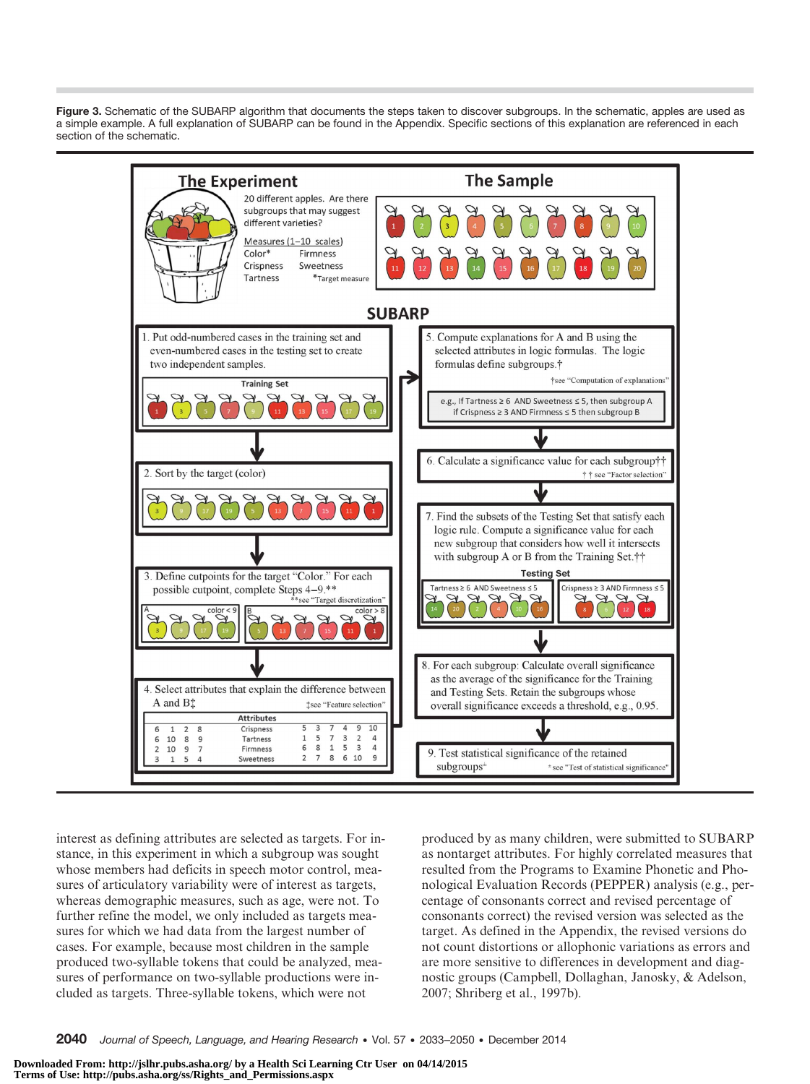Figure 3. Schematic of the SUBARP algorithm that documents the steps taken to discover subgroups. In the schematic, apples are used as a simple example. A full explanation of SUBARP can be found in the Appendix. Specific sections of this explanation are referenced in each section of the schematic.



interest as defining attributes are selected as targets. For instance, in this experiment in which a subgroup was sought whose members had deficits in speech motor control, measures of articulatory variability were of interest as targets, whereas demographic measures, such as age, were not. To further refine the model, we only included as targets measures for which we had data from the largest number of cases. For example, because most children in the sample produced two-syllable tokens that could be analyzed, measures of performance on two-syllable productions were included as targets. Three-syllable tokens, which were not

produced by as many children, were submitted to SUBARP as nontarget attributes. For highly correlated measures that resulted from the Programs to Examine Phonetic and Phonological Evaluation Records (PEPPER) analysis (e.g., percentage of consonants correct and revised percentage of consonants correct) the revised version was selected as the target. As defined in the Appendix, the revised versions do not count distortions or allophonic variations as errors and are more sensitive to differences in development and diagnostic groups (Campbell, Dollaghan, Janosky, & Adelson, 2007; Shriberg et al., 1997b).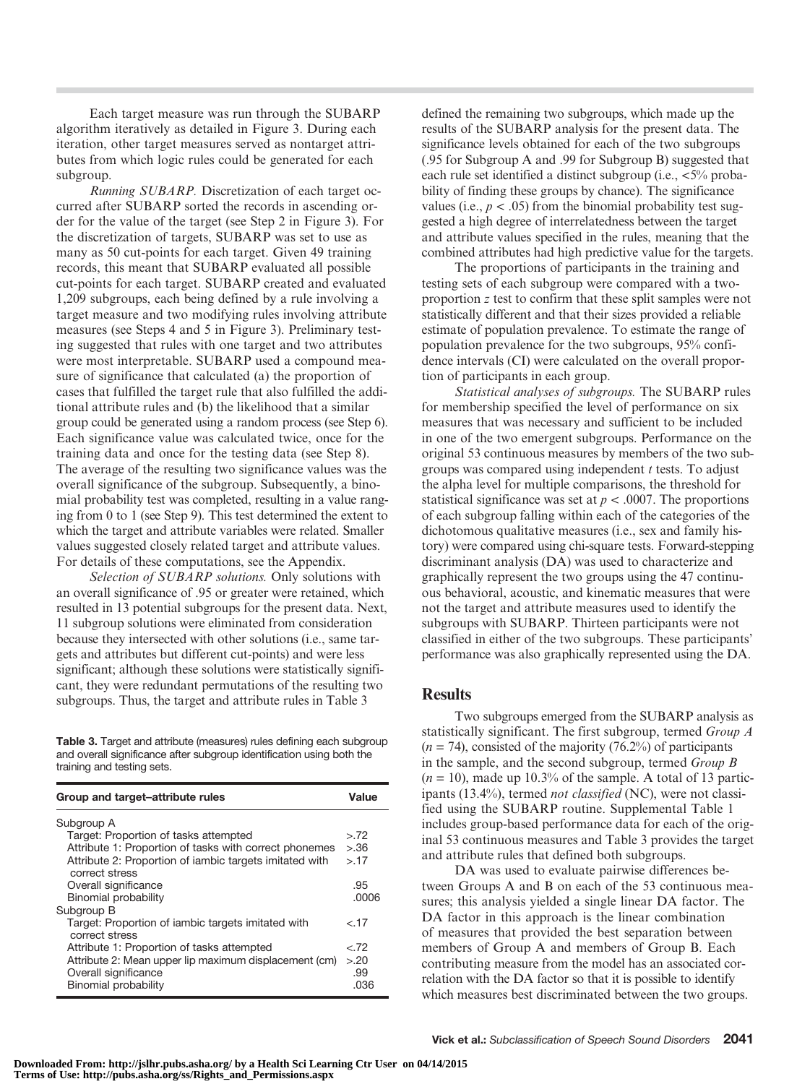Each target measure was run through the SUBARP algorithm iteratively as detailed in Figure 3. During each iteration, other target measures served as nontarget attributes from which logic rules could be generated for each subgroup.

Running SUBARP. Discretization of each target occurred after SUBARP sorted the records in ascending order for the value of the target (see Step 2 in Figure 3). For the discretization of targets, SUBARP was set to use as many as 50 cut-points for each target. Given 49 training records, this meant that SUBARP evaluated all possible cut-points for each target. SUBARP created and evaluated 1,209 subgroups, each being defined by a rule involving a target measure and two modifying rules involving attribute measures (see Steps 4 and 5 in Figure 3). Preliminary testing suggested that rules with one target and two attributes were most interpretable. SUBARP used a compound measure of significance that calculated (a) the proportion of cases that fulfilled the target rule that also fulfilled the additional attribute rules and (b) the likelihood that a similar group could be generated using a random process (see Step 6). Each significance value was calculated twice, once for the training data and once for the testing data (see Step 8). The average of the resulting two significance values was the overall significance of the subgroup. Subsequently, a binomial probability test was completed, resulting in a value ranging from 0 to 1 (see Step 9). This test determined the extent to which the target and attribute variables were related. Smaller values suggested closely related target and attribute values. For details of these computations, see the Appendix.

Selection of SUBARP solutions. Only solutions with an overall significance of .95 or greater were retained, which resulted in 13 potential subgroups for the present data. Next, 11 subgroup solutions were eliminated from consideration because they intersected with other solutions (i.e., same targets and attributes but different cut-points) and were less significant; although these solutions were statistically significant, they were redundant permutations of the resulting two subgroups. Thus, the target and attribute rules in Table 3

Table 3. Target and attribute (measures) rules defining each subgroup and overall significance after subgroup identification using both the training and testing sets.

| Group and target-attribute rules                                                                      |                     |  |  |
|-------------------------------------------------------------------------------------------------------|---------------------|--|--|
| Subgroup A                                                                                            |                     |  |  |
| Target: Proportion of tasks attempted                                                                 | > 72                |  |  |
| Attribute 1: Proportion of tasks with correct phonemes                                                | >36                 |  |  |
| Attribute 2: Proportion of iambic targets imitated with<br>correct stress                             | > 17                |  |  |
| Overall significance                                                                                  | .95                 |  |  |
| Binomial probability                                                                                  | .0006               |  |  |
| Subgroup B                                                                                            |                     |  |  |
| Target: Proportion of iambic targets imitated with<br>correct stress                                  | < 17                |  |  |
| Attribute 1: Proportion of tasks attempted                                                            | &72                 |  |  |
| Attribute 2: Mean upper lip maximum displacement (cm)<br>Overall significance<br>Binomial probability | > 20<br>.99<br>.036 |  |  |

defined the remaining two subgroups, which made up the results of the SUBARP analysis for the present data. The significance levels obtained for each of the two subgroups (.95 for Subgroup A and .99 for Subgroup B) suggested that each rule set identified a distinct subgroup (i.e.,  $\langle 5\%$ ) probability of finding these groups by chance). The significance values (i.e.,  $p < .05$ ) from the binomial probability test suggested a high degree of interrelatedness between the target and attribute values specified in the rules, meaning that the combined attributes had high predictive value for the targets.

The proportions of participants in the training and testing sets of each subgroup were compared with a twoproportion z test to confirm that these split samples were not statistically different and that their sizes provided a reliable estimate of population prevalence. To estimate the range of population prevalence for the two subgroups, 95% confidence intervals (CI) were calculated on the overall proportion of participants in each group.

Statistical analyses of subgroups. The SUBARP rules for membership specified the level of performance on six measures that was necessary and sufficient to be included in one of the two emergent subgroups. Performance on the original 53 continuous measures by members of the two subgroups was compared using independent  $t$  tests. To adjust the alpha level for multiple comparisons, the threshold for statistical significance was set at  $p < .0007$ . The proportions of each subgroup falling within each of the categories of the dichotomous qualitative measures (i.e., sex and family history) were compared using chi-square tests. Forward-stepping discriminant analysis (DA) was used to characterize and graphically represent the two groups using the 47 continuous behavioral, acoustic, and kinematic measures that were not the target and attribute measures used to identify the subgroups with SUBARP. Thirteen participants were not classified in either of the two subgroups. These participants' performance was also graphically represented using the DA.

## **Results**

Two subgroups emerged from the SUBARP analysis as statistically significant. The first subgroup, termed Group A  $(n = 74)$ , consisted of the majority  $(76.2\%)$  of participants in the sample, and the second subgroup, termed Group B  $(n = 10)$ , made up 10.3% of the sample. A total of 13 participants (13.4%), termed not classified (NC), were not classified using the SUBARP routine. Supplemental Table 1 includes group-based performance data for each of the original 53 continuous measures and Table 3 provides the target and attribute rules that defined both subgroups.

DA was used to evaluate pairwise differences between Groups A and B on each of the 53 continuous measures; this analysis yielded a single linear DA factor. The DA factor in this approach is the linear combination of measures that provided the best separation between members of Group A and members of Group B. Each contributing measure from the model has an associated correlation with the DA factor so that it is possible to identify which measures best discriminated between the two groups.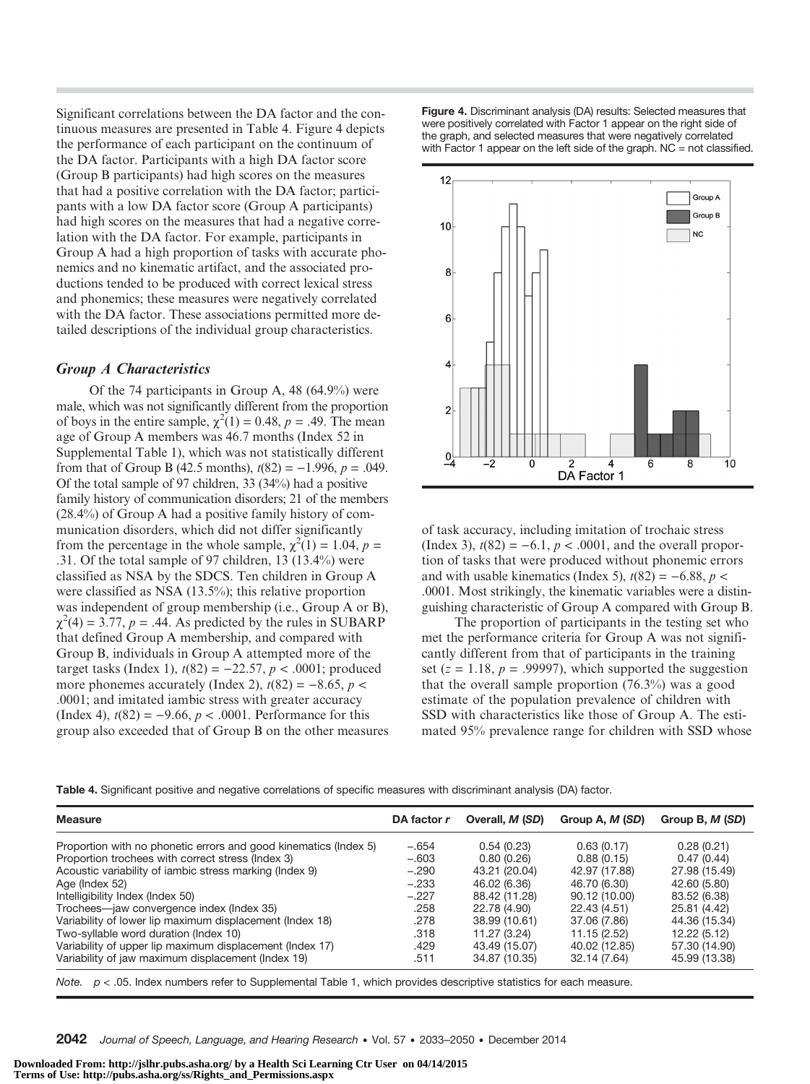Significant correlations between the DA factor and the continuous measures are presented in Table 4. Figure 4 depicts the performance of each participant on the continuum of the DA factor. Participants with a high DA factor score (Group B participants) had high scores on the measures that had a positive correlation with the DA factor; participants with a low DA factor score (Group A participants) had high scores on the measures that had a negative correlation with the DA factor. For example, participants in Group A had a high proportion of tasks with accurate phonemics and no kinematic artifact, and the associated productions tended to be produced with correct lexical stress and phonemics; these measures were negatively correlated with the DA factor. These associations permitted more detailed descriptions of the individual group characteristics.

## Group A Characteristics

Of the 74 participants in Group A, 48 (64.9%) were male, which was not significantly different from the proportion of boys in the entire sample,  $\chi^2(1) = 0.48$ ,  $p = .49$ . The mean age of Group A members was 46.7 months (Index 52 in Supplemental Table 1), which was not statistically different from that of Group B (42.5 months),  $t(82) = -1.996$ ,  $p = .049$ . Of the total sample of 97 children, 33 (34%) had a positive family history of communication disorders; 21 of the members (28.4%) of Group A had a positive family history of communication disorders, which did not differ significantly from the percentage in the whole sample,  $\chi^2(1) = 1.04$ ,  $p =$ .31. Of the total sample of 97 children, 13 (13.4%) were classified as NSA by the SDCS. Ten children in Group A were classified as NSA (13.5%); this relative proportion was independent of group membership (i.e., Group A or B),  $\chi^2(4) = 3.77$ ,  $p = .44$ . As predicted by the rules in SUBARP that defined Group A membership, and compared with Group B, individuals in Group A attempted more of the target tasks (Index 1),  $t(82) = −22.57, p < .0001$ ; produced more phonemes accurately (Index 2),  $t(82) = -8.65$ ,  $p <$ .0001; and imitated iambic stress with greater accuracy (Index 4),  $t(82) = -9.66$ ,  $p < .0001$ . Performance for this group also exceeded that of Group B on the other measures Figure 4. Discriminant analysis (DA) results: Selected measures that were positively correlated with Factor 1 appear on the right side of the graph, and selected measures that were negatively correlated with Factor 1 appear on the left side of the graph. NC = not classified.



of task accuracy, including imitation of trochaic stress (Index 3),  $t(82) = -6.1$ ,  $p < .0001$ , and the overall proportion of tasks that were produced without phonemic errors and with usable kinematics (Index 5),  $t(82) = -6.88$ ,  $p <$ .0001. Most strikingly, the kinematic variables were a distinguishing characteristic of Group A compared with Group B.

The proportion of participants in the testing set who met the performance criteria for Group A was not significantly different from that of participants in the training set ( $z = 1.18$ ,  $p = .99997$ ), which supported the suggestion that the overall sample proportion (76.3%) was a good estimate of the population prevalence of children with SSD with characteristics like those of Group A. The estimated 95% prevalence range for children with SSD whose

Table 4. Significant positive and negative correlations of specific measures with discriminant analysis (DA) factor.

| <b>Measure</b>                                                   | DA factor r | Overall, <i>M (SD)</i> | Group A, M (SD) | Group B, M (SD) |
|------------------------------------------------------------------|-------------|------------------------|-----------------|-----------------|
| Proportion with no phonetic errors and good kinematics (Index 5) | $-.654$     | 0.54(0.23)             | 0.63(0.17)      | 0.28(0.21)      |
| Proportion trochees with correct stress (Index 3)                | $-.603$     | 0.80(0.26)             | 0.88(0.15)      | 0.47(0.44)      |
| Acoustic variability of iambic stress marking (Index 9)          | $-.290$     | 43.21 (20.04)          | 42.97 (17.88)   | 27.98 (15.49)   |
| Age (Index 52)                                                   | $-.233$     | 46.02 (6.36)           | 46.70 (6.30)    | 42.60 (5.80)    |
| Intelligibility Index (Index 50)                                 | $-.227$     | 88.42 (11.28)          | 90.12 (10.00)   | 83.52 (6.38)    |
| Trochees—jaw convergence index (Index 35)                        | .258        | 22.78 (4.90)           | 22.43 (4.51)    | 25.81 (4.42)    |
| Variability of lower lip maximum displacement (Index 18)         | .278        | 38.99 (10.61)          | 37.06 (7.86)    | 44.36 (15.34)   |
| Two-syllable word duration (Index 10)                            | .318        | 11.27 (3.24)           | 11.15 (2.52)    | 12.22 (5.12)    |
| Variability of upper lip maximum displacement (Index 17)         | .429        | 43.49 (15.07)          | 40.02 (12.85)   | 57.30 (14.90)   |
| Variability of jaw maximum displacement (Index 19)               | .511        | 34.87 (10.35)          | 32.14 (7.64)    | 45.99 (13.38)   |

Note.  $p < .05$ . Index numbers refer to Supplemental Table 1, which provides descriptive statistics for each measure.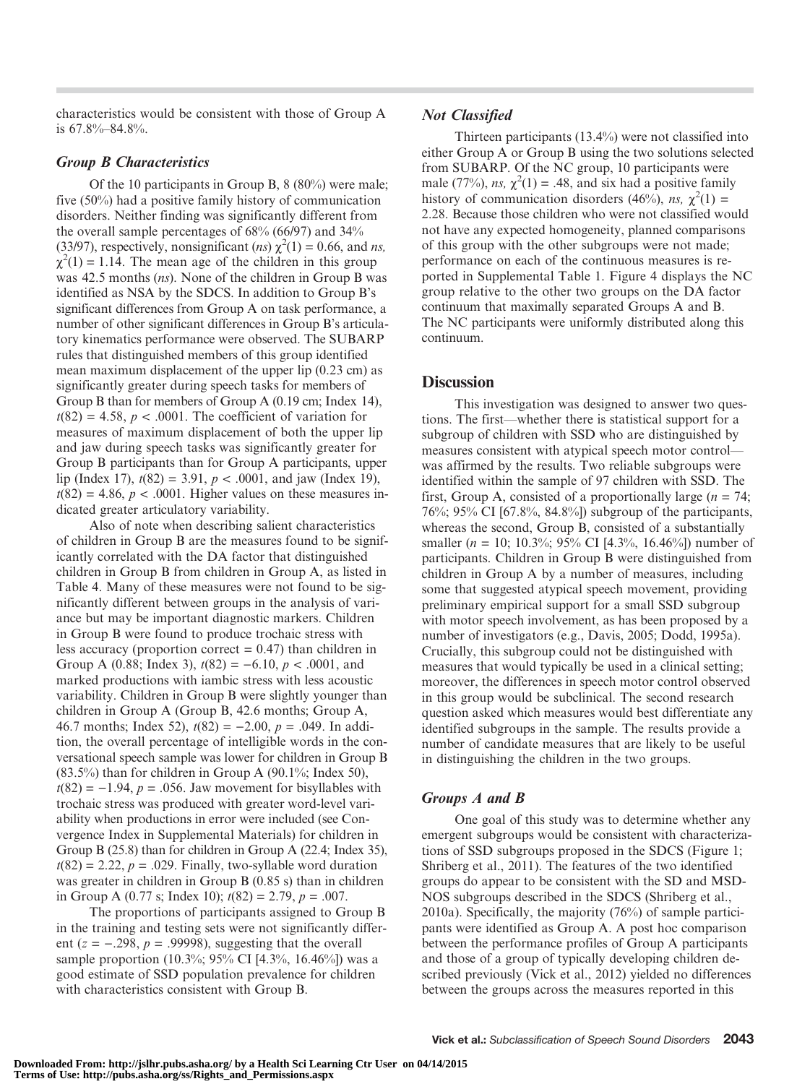characteristics would be consistent with those of Group A is 67.8%–84.8%.

## Group B Characteristics

Of the 10 participants in Group B, 8 (80%) were male; five (50%) had a positive family history of communication disorders. Neither finding was significantly different from the overall sample percentages of 68% (66/97) and 34% (33/97), respectively, nonsignificant (ns)  $\chi^2(1) = 0.66$ , and ns,  $\chi^2(1) = 1.14$ . The mean age of the children in this group was 42.5 months (ns). None of the children in Group B was identified as NSA by the SDCS. In addition to Group B's significant differences from Group A on task performance, a number of other significant differences in Group B's articulatory kinematics performance were observed. The SUBARP rules that distinguished members of this group identified mean maximum displacement of the upper lip (0.23 cm) as significantly greater during speech tasks for members of Group B than for members of Group A (0.19 cm; Index 14),  $t(82) = 4.58$ ,  $p < .0001$ . The coefficient of variation for measures of maximum displacement of both the upper lip and jaw during speech tasks was significantly greater for Group B participants than for Group A participants, upper lip (Index 17),  $t(82) = 3.91$ ,  $p < .0001$ , and jaw (Index 19),  $t(82) = 4.86$ ,  $p < .0001$ . Higher values on these measures indicated greater articulatory variability.

Also of note when describing salient characteristics of children in Group B are the measures found to be significantly correlated with the DA factor that distinguished children in Group B from children in Group A, as listed in Table 4. Many of these measures were not found to be significantly different between groups in the analysis of variance but may be important diagnostic markers. Children in Group B were found to produce trochaic stress with less accuracy (proportion correct  $= 0.47$ ) than children in Group A (0.88; Index 3),  $t(82) = -6.10$ ,  $p < .0001$ , and marked productions with iambic stress with less acoustic variability. Children in Group B were slightly younger than children in Group A (Group B, 42.6 months; Group A, 46.7 months; Index 52),  $t(82) = -2.00$ ,  $p = .049$ . In addition, the overall percentage of intelligible words in the conversational speech sample was lower for children in Group B  $(83.5\%)$  than for children in Group A  $(90.1\%; \text{Index } 50)$ ,  $t(82) = -1.94$ ,  $p = .056$ . Jaw movement for bisyllables with trochaic stress was produced with greater word-level variability when productions in error were included (see Convergence Index in Supplemental Materials) for children in Group B (25.8) than for children in Group A (22.4; Index 35),  $t(82) = 2.22$ ,  $p = .029$ . Finally, two-syllable word duration was greater in children in Group B (0.85 s) than in children in Group A (0.77 s; Index 10);  $t(82) = 2.79$ ,  $p = .007$ .

The proportions of participants assigned to Group B in the training and testing sets were not significantly different ( $z = -.298$ ,  $p = .99998$ ), suggesting that the overall sample proportion (10.3%; 95% CI [4.3%, 16.46%]) was a good estimate of SSD population prevalence for children with characteristics consistent with Group B.

## Not Classified

Thirteen participants (13.4%) were not classified into either Group A or Group B using the two solutions selected from SUBARP. Of the NC group, 10 participants were male (77%), ns,  $\chi^2(1) = .48$ , and six had a positive family history of communication disorders (46%), ns,  $\chi^2(1)$  = 2.28. Because those children who were not classified would not have any expected homogeneity, planned comparisons of this group with the other subgroups were not made; performance on each of the continuous measures is reported in Supplemental Table 1. Figure 4 displays the NC group relative to the other two groups on the DA factor continuum that maximally separated Groups A and B. The NC participants were uniformly distributed along this continuum.

## **Discussion**

This investigation was designed to answer two questions. The first—whether there is statistical support for a subgroup of children with SSD who are distinguished by measures consistent with atypical speech motor control was affirmed by the results. Two reliable subgroups were identified within the sample of 97 children with SSD. The first, Group A, consisted of a proportionally large ( $n = 74$ ; 76%; 95% CI [67.8%, 84.8%]) subgroup of the participants, whereas the second, Group B, consisted of a substantially smaller ( $n = 10$ ; 10.3%; 95% CI [4.3%, 16.46%]) number of participants. Children in Group B were distinguished from children in Group A by a number of measures, including some that suggested atypical speech movement, providing preliminary empirical support for a small SSD subgroup with motor speech involvement, as has been proposed by a number of investigators (e.g., Davis, 2005; Dodd, 1995a). Crucially, this subgroup could not be distinguished with measures that would typically be used in a clinical setting; moreover, the differences in speech motor control observed in this group would be subclinical. The second research question asked which measures would best differentiate any identified subgroups in the sample. The results provide a number of candidate measures that are likely to be useful in distinguishing the children in the two groups.

## Groups A and B

One goal of this study was to determine whether any emergent subgroups would be consistent with characterizations of SSD subgroups proposed in the SDCS (Figure 1; Shriberg et al., 2011). The features of the two identified groups do appear to be consistent with the SD and MSD-NOS subgroups described in the SDCS (Shriberg et al., 2010a). Specifically, the majority (76%) of sample participants were identified as Group A. A post hoc comparison between the performance profiles of Group A participants and those of a group of typically developing children described previously (Vick et al., 2012) yielded no differences between the groups across the measures reported in this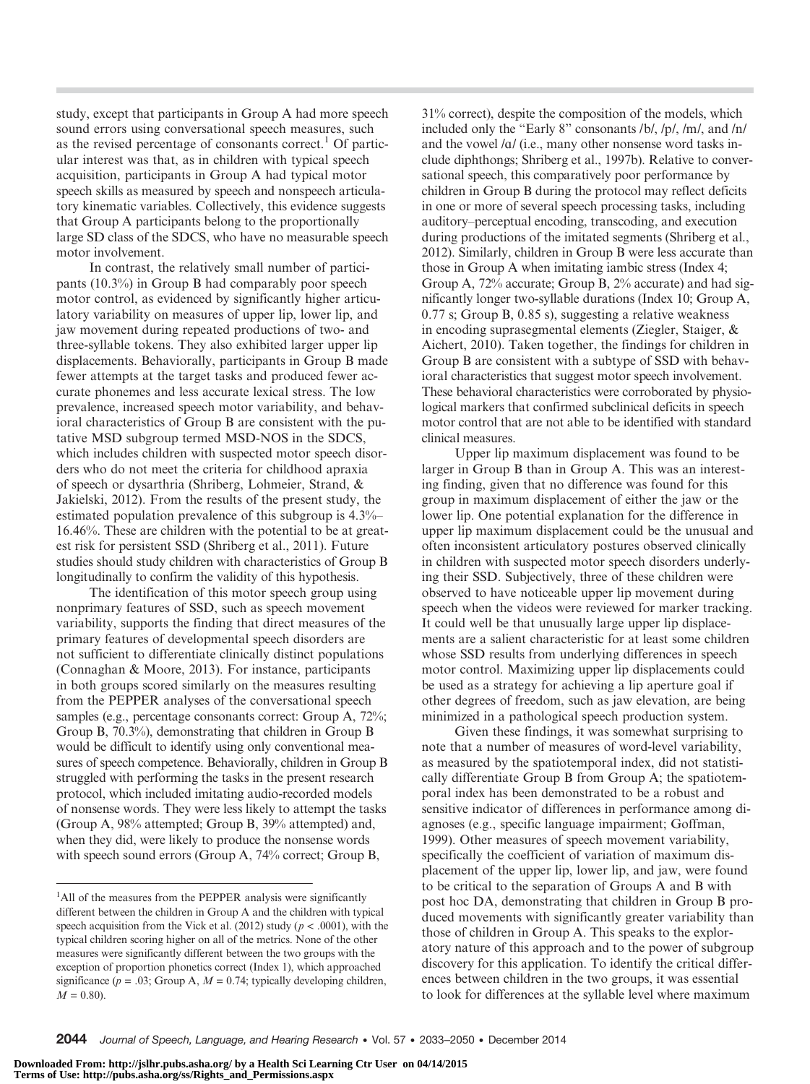study, except that participants in Group A had more speech sound errors using conversational speech measures, such as the revised percentage of consonants correct.<sup>1</sup> Of particular interest was that, as in children with typical speech acquisition, participants in Group A had typical motor speech skills as measured by speech and nonspeech articulatory kinematic variables. Collectively, this evidence suggests that Group A participants belong to the proportionally large SD class of the SDCS, who have no measurable speech motor involvement.

In contrast, the relatively small number of participants (10.3%) in Group B had comparably poor speech motor control, as evidenced by significantly higher articulatory variability on measures of upper lip, lower lip, and jaw movement during repeated productions of two- and three-syllable tokens. They also exhibited larger upper lip displacements. Behaviorally, participants in Group B made fewer attempts at the target tasks and produced fewer accurate phonemes and less accurate lexical stress. The low prevalence, increased speech motor variability, and behavioral characteristics of Group B are consistent with the putative MSD subgroup termed MSD-NOS in the SDCS, which includes children with suspected motor speech disorders who do not meet the criteria for childhood apraxia of speech or dysarthria (Shriberg, Lohmeier, Strand, & Jakielski, 2012). From the results of the present study, the estimated population prevalence of this subgroup is 4.3%– 16.46%. These are children with the potential to be at greatest risk for persistent SSD (Shriberg et al., 2011). Future studies should study children with characteristics of Group B longitudinally to confirm the validity of this hypothesis.

The identification of this motor speech group using nonprimary features of SSD, such as speech movement variability, supports the finding that direct measures of the primary features of developmental speech disorders are not sufficient to differentiate clinically distinct populations (Connaghan & Moore, 2013). For instance, participants in both groups scored similarly on the measures resulting from the PEPPER analyses of the conversational speech samples (e.g., percentage consonants correct: Group A, 72%; Group B, 70.3%), demonstrating that children in Group B would be difficult to identify using only conventional measures of speech competence. Behaviorally, children in Group B struggled with performing the tasks in the present research protocol, which included imitating audio-recorded models of nonsense words. They were less likely to attempt the tasks (Group A, 98% attempted; Group B, 39% attempted) and, when they did, were likely to produce the nonsense words with speech sound errors (Group A, 74% correct; Group B,

31% correct), despite the composition of the models, which included only the "Early 8" consonants /b/, /p/, /m/, and /n/ and the vowel /*A*/ (i.e., many other nonsense word tasks include diphthongs; Shriberg et al., 1997b). Relative to conversational speech, this comparatively poor performance by children in Group B during the protocol may reflect deficits in one or more of several speech processing tasks, including auditory–perceptual encoding, transcoding, and execution during productions of the imitated segments (Shriberg et al., 2012). Similarly, children in Group B were less accurate than those in Group A when imitating iambic stress (Index 4; Group A, 72% accurate; Group B, 2% accurate) and had significantly longer two-syllable durations (Index 10; Group A, 0.77 s; Group B, 0.85 s), suggesting a relative weakness in encoding suprasegmental elements (Ziegler, Staiger, & Aichert, 2010). Taken together, the findings for children in Group B are consistent with a subtype of SSD with behavioral characteristics that suggest motor speech involvement. These behavioral characteristics were corroborated by physiological markers that confirmed subclinical deficits in speech motor control that are not able to be identified with standard clinical measures.

Upper lip maximum displacement was found to be larger in Group B than in Group A. This was an interesting finding, given that no difference was found for this group in maximum displacement of either the jaw or the lower lip. One potential explanation for the difference in upper lip maximum displacement could be the unusual and often inconsistent articulatory postures observed clinically in children with suspected motor speech disorders underlying their SSD. Subjectively, three of these children were observed to have noticeable upper lip movement during speech when the videos were reviewed for marker tracking. It could well be that unusually large upper lip displacements are a salient characteristic for at least some children whose SSD results from underlying differences in speech motor control. Maximizing upper lip displacements could be used as a strategy for achieving a lip aperture goal if other degrees of freedom, such as jaw elevation, are being minimized in a pathological speech production system.

Given these findings, it was somewhat surprising to note that a number of measures of word-level variability, as measured by the spatiotemporal index, did not statistically differentiate Group B from Group A; the spatiotemporal index has been demonstrated to be a robust and sensitive indicator of differences in performance among diagnoses (e.g., specific language impairment; Goffman, 1999). Other measures of speech movement variability, specifically the coefficient of variation of maximum displacement of the upper lip, lower lip, and jaw, were found to be critical to the separation of Groups A and B with post hoc DA, demonstrating that children in Group B produced movements with significantly greater variability than those of children in Group A. This speaks to the exploratory nature of this approach and to the power of subgroup discovery for this application. To identify the critical differences between children in the two groups, it was essential to look for differences at the syllable level where maximum

<sup>&</sup>lt;sup>1</sup>All of the measures from the PEPPER analysis were significantly different between the children in Group A and the children with typical speech acquisition from the Vick et al. (2012) study ( $p < .0001$ ), with the typical children scoring higher on all of the metrics. None of the other measures were significantly different between the two groups with the exception of proportion phonetics correct (Index 1), which approached significance ( $p = .03$ ; Group A,  $M = 0.74$ ; typically developing children,  $M = 0.80$ .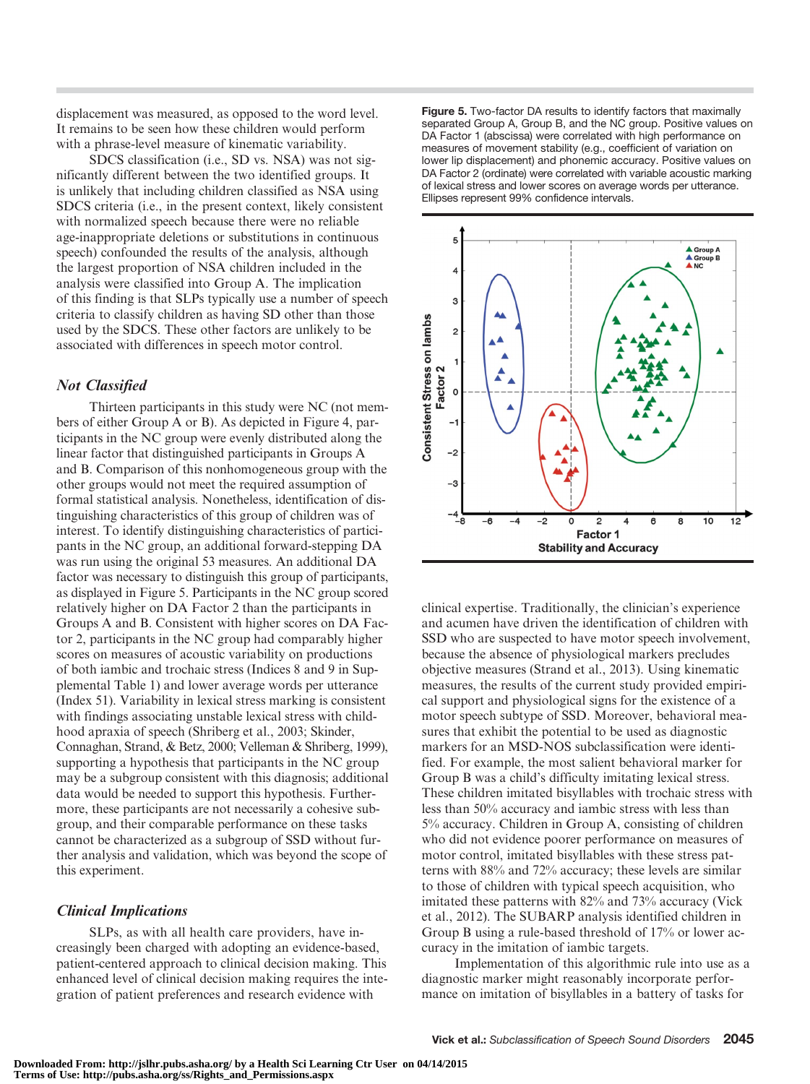displacement was measured, as opposed to the word level. It remains to be seen how these children would perform with a phrase-level measure of kinematic variability.

SDCS classification (i.e., SD vs. NSA) was not significantly different between the two identified groups. It is unlikely that including children classified as NSA using SDCS criteria (i.e., in the present context, likely consistent with normalized speech because there were no reliable age-inappropriate deletions or substitutions in continuous speech) confounded the results of the analysis, although the largest proportion of NSA children included in the analysis were classified into Group A. The implication of this finding is that SLPs typically use a number of speech criteria to classify children as having SD other than those used by the SDCS. These other factors are unlikely to be associated with differences in speech motor control.

## Not Classified

Thirteen participants in this study were NC (not members of either Group A or B). As depicted in Figure 4, participants in the NC group were evenly distributed along the linear factor that distinguished participants in Groups A and B. Comparison of this nonhomogeneous group with the other groups would not meet the required assumption of formal statistical analysis. Nonetheless, identification of distinguishing characteristics of this group of children was of interest. To identify distinguishing characteristics of participants in the NC group, an additional forward-stepping DA was run using the original 53 measures. An additional DA factor was necessary to distinguish this group of participants, as displayed in Figure 5. Participants in the NC group scored relatively higher on DA Factor 2 than the participants in Groups A and B. Consistent with higher scores on DA Factor 2, participants in the NC group had comparably higher scores on measures of acoustic variability on productions of both iambic and trochaic stress (Indices 8 and 9 in Supplemental Table 1) and lower average words per utterance (Index 51). Variability in lexical stress marking is consistent with findings associating unstable lexical stress with childhood apraxia of speech (Shriberg et al., 2003; Skinder, Connaghan, Strand, & Betz, 2000; Velleman & Shriberg, 1999), supporting a hypothesis that participants in the NC group may be a subgroup consistent with this diagnosis; additional data would be needed to support this hypothesis. Furthermore, these participants are not necessarily a cohesive subgroup, and their comparable performance on these tasks cannot be characterized as a subgroup of SSD without further analysis and validation, which was beyond the scope of this experiment.

## Clinical Implications

SLPs, as with all health care providers, have increasingly been charged with adopting an evidence-based, patient-centered approach to clinical decision making. This enhanced level of clinical decision making requires the integration of patient preferences and research evidence with

Figure 5. Two-factor DA results to identify factors that maximally separated Group A, Group B, and the NC group. Positive values on DA Factor 1 (abscissa) were correlated with high performance on measures of movement stability (e.g., coefficient of variation on lower lip displacement) and phonemic accuracy. Positive values on DA Factor 2 (ordinate) were correlated with variable acoustic marking of lexical stress and lower scores on average words per utterance. Ellipses represent 99% confidence intervals.



clinical expertise. Traditionally, the clinician's experience and acumen have driven the identification of children with SSD who are suspected to have motor speech involvement, because the absence of physiological markers precludes objective measures (Strand et al., 2013). Using kinematic measures, the results of the current study provided empirical support and physiological signs for the existence of a motor speech subtype of SSD. Moreover, behavioral measures that exhibit the potential to be used as diagnostic markers for an MSD-NOS subclassification were identified. For example, the most salient behavioral marker for Group B was a child's difficulty imitating lexical stress. These children imitated bisyllables with trochaic stress with less than 50% accuracy and iambic stress with less than 5% accuracy. Children in Group A, consisting of children who did not evidence poorer performance on measures of motor control, imitated bisyllables with these stress patterns with 88% and 72% accuracy; these levels are similar to those of children with typical speech acquisition, who imitated these patterns with 82% and 73% accuracy (Vick et al., 2012). The SUBARP analysis identified children in Group B using a rule-based threshold of 17% or lower accuracy in the imitation of iambic targets.

Implementation of this algorithmic rule into use as a diagnostic marker might reasonably incorporate performance on imitation of bisyllables in a battery of tasks for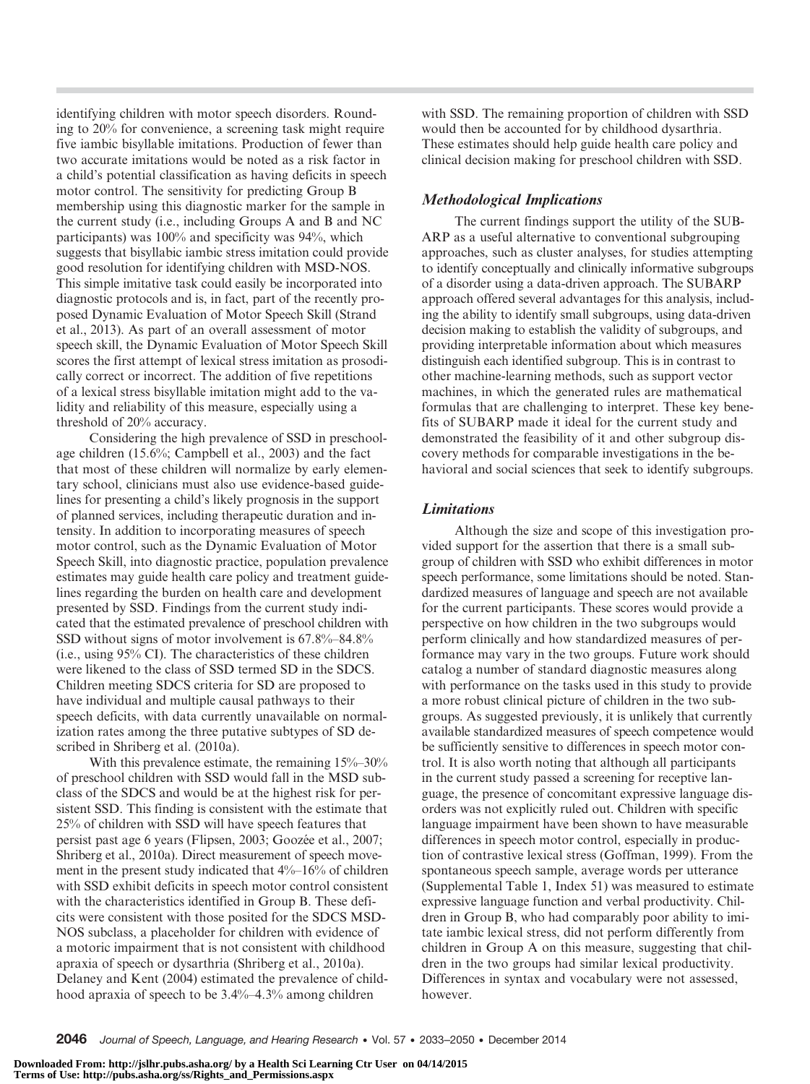identifying children with motor speech disorders. Rounding to 20% for convenience, a screening task might require five iambic bisyllable imitations. Production of fewer than two accurate imitations would be noted as a risk factor in a child's potential classification as having deficits in speech motor control. The sensitivity for predicting Group B membership using this diagnostic marker for the sample in the current study (i.e., including Groups A and B and NC participants) was 100% and specificity was 94%, which suggests that bisyllabic iambic stress imitation could provide good resolution for identifying children with MSD-NOS. This simple imitative task could easily be incorporated into diagnostic protocols and is, in fact, part of the recently proposed Dynamic Evaluation of Motor Speech Skill (Strand et al., 2013). As part of an overall assessment of motor speech skill, the Dynamic Evaluation of Motor Speech Skill scores the first attempt of lexical stress imitation as prosodically correct or incorrect. The addition of five repetitions of a lexical stress bisyllable imitation might add to the validity and reliability of this measure, especially using a threshold of 20% accuracy.

Considering the high prevalence of SSD in preschoolage children (15.6%; Campbell et al., 2003) and the fact that most of these children will normalize by early elementary school, clinicians must also use evidence-based guidelines for presenting a child's likely prognosis in the support of planned services, including therapeutic duration and intensity. In addition to incorporating measures of speech motor control, such as the Dynamic Evaluation of Motor Speech Skill, into diagnostic practice, population prevalence estimates may guide health care policy and treatment guidelines regarding the burden on health care and development presented by SSD. Findings from the current study indicated that the estimated prevalence of preschool children with SSD without signs of motor involvement is 67.8%–84.8% (i.e., using 95% CI). The characteristics of these children were likened to the class of SSD termed SD in the SDCS. Children meeting SDCS criteria for SD are proposed to have individual and multiple causal pathways to their speech deficits, with data currently unavailable on normalization rates among the three putative subtypes of SD described in Shriberg et al. (2010a).

With this prevalence estimate, the remaining  $15\% - 30\%$ of preschool children with SSD would fall in the MSD subclass of the SDCS and would be at the highest risk for persistent SSD. This finding is consistent with the estimate that 25% of children with SSD will have speech features that persist past age 6 years (Flipsen, 2003; Goozée et al., 2007; Shriberg et al., 2010a). Direct measurement of speech movement in the present study indicated that 4%–16% of children with SSD exhibit deficits in speech motor control consistent with the characteristics identified in Group B. These deficits were consistent with those posited for the SDCS MSD-NOS subclass, a placeholder for children with evidence of a motoric impairment that is not consistent with childhood apraxia of speech or dysarthria (Shriberg et al., 2010a). Delaney and Kent (2004) estimated the prevalence of childhood apraxia of speech to be 3.4%–4.3% among children

with SSD. The remaining proportion of children with SSD would then be accounted for by childhood dysarthria. These estimates should help guide health care policy and clinical decision making for preschool children with SSD.

## Methodological Implications

The current findings support the utility of the SUB-ARP as a useful alternative to conventional subgrouping approaches, such as cluster analyses, for studies attempting to identify conceptually and clinically informative subgroups of a disorder using a data-driven approach. The SUBARP approach offered several advantages for this analysis, including the ability to identify small subgroups, using data-driven decision making to establish the validity of subgroups, and providing interpretable information about which measures distinguish each identified subgroup. This is in contrast to other machine-learning methods, such as support vector machines, in which the generated rules are mathematical formulas that are challenging to interpret. These key benefits of SUBARP made it ideal for the current study and demonstrated the feasibility of it and other subgroup discovery methods for comparable investigations in the behavioral and social sciences that seek to identify subgroups.

## Limitations

Although the size and scope of this investigation provided support for the assertion that there is a small subgroup of children with SSD who exhibit differences in motor speech performance, some limitations should be noted. Standardized measures of language and speech are not available for the current participants. These scores would provide a perspective on how children in the two subgroups would perform clinically and how standardized measures of performance may vary in the two groups. Future work should catalog a number of standard diagnostic measures along with performance on the tasks used in this study to provide a more robust clinical picture of children in the two subgroups. As suggested previously, it is unlikely that currently available standardized measures of speech competence would be sufficiently sensitive to differences in speech motor control. It is also worth noting that although all participants in the current study passed a screening for receptive language, the presence of concomitant expressive language disorders was not explicitly ruled out. Children with specific language impairment have been shown to have measurable differences in speech motor control, especially in production of contrastive lexical stress (Goffman, 1999). From the spontaneous speech sample, average words per utterance (Supplemental Table 1, Index 51) was measured to estimate expressive language function and verbal productivity. Children in Group B, who had comparably poor ability to imitate iambic lexical stress, did not perform differently from children in Group A on this measure, suggesting that children in the two groups had similar lexical productivity. Differences in syntax and vocabulary were not assessed, however.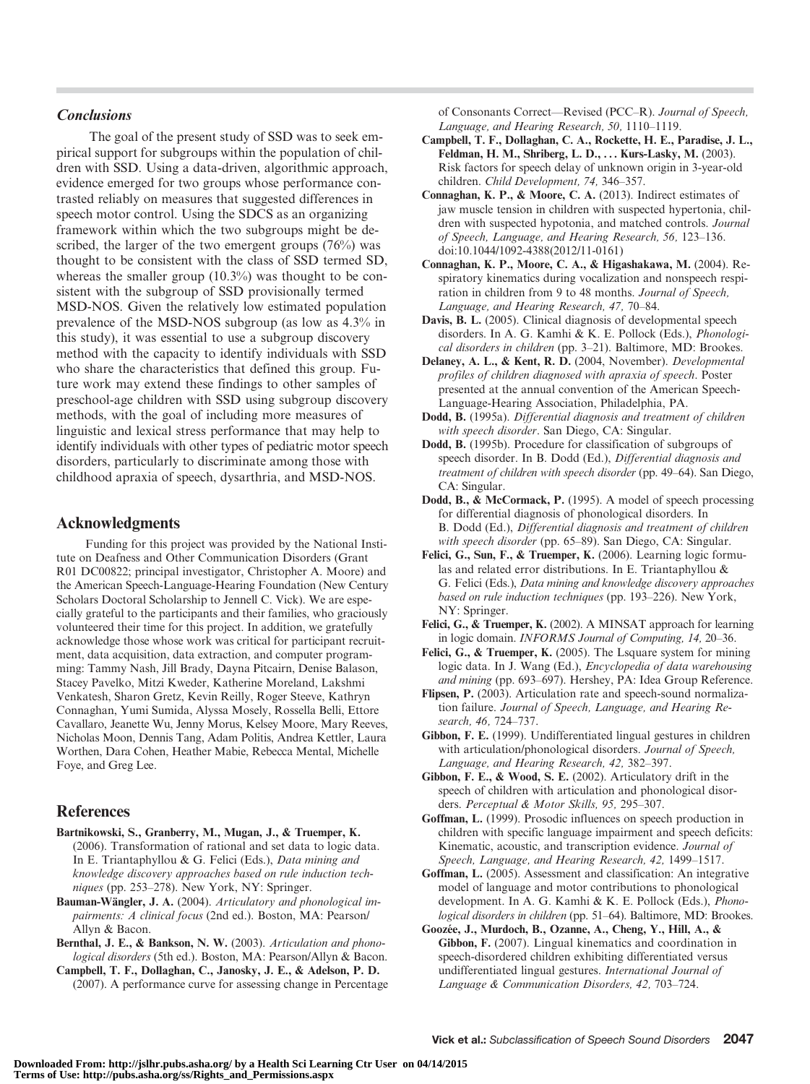## **Conclusions**

The goal of the present study of SSD was to seek empirical support for subgroups within the population of children with SSD. Using a data-driven, algorithmic approach, evidence emerged for two groups whose performance contrasted reliably on measures that suggested differences in speech motor control. Using the SDCS as an organizing framework within which the two subgroups might be described, the larger of the two emergent groups (76%) was thought to be consistent with the class of SSD termed SD, whereas the smaller group  $(10.3\%)$  was thought to be consistent with the subgroup of SSD provisionally termed MSD-NOS. Given the relatively low estimated population prevalence of the MSD-NOS subgroup (as low as 4.3% in this study), it was essential to use a subgroup discovery method with the capacity to identify individuals with SSD who share the characteristics that defined this group. Future work may extend these findings to other samples of preschool-age children with SSD using subgroup discovery methods, with the goal of including more measures of linguistic and lexical stress performance that may help to identify individuals with other types of pediatric motor speech disorders, particularly to discriminate among those with childhood apraxia of speech, dysarthria, and MSD-NOS.

## Acknowledgments

Funding for this project was provided by the National Institute on Deafness and Other Communication Disorders (Grant R01 DC00822; principal investigator, Christopher A. Moore) and the American Speech-Language-Hearing Foundation (New Century Scholars Doctoral Scholarship to Jennell C. Vick). We are especially grateful to the participants and their families, who graciously volunteered their time for this project. In addition, we gratefully acknowledge those whose work was critical for participant recruitment, data acquisition, data extraction, and computer programming: Tammy Nash, Jill Brady, Dayna Pitcairn, Denise Balason, Stacey Pavelko, Mitzi Kweder, Katherine Moreland, Lakshmi Venkatesh, Sharon Gretz, Kevin Reilly, Roger Steeve, Kathryn Connaghan, Yumi Sumida, Alyssa Mosely, Rossella Belli, Ettore Cavallaro, Jeanette Wu, Jenny Morus, Kelsey Moore, Mary Reeves, Nicholas Moon, Dennis Tang, Adam Politis, Andrea Kettler, Laura Worthen, Dara Cohen, Heather Mabie, Rebecca Mental, Michelle Foye, and Greg Lee.

## References

- Bartnikowski, S., Granberry, M., Mugan, J., & Truemper, K. (2006). Transformation of rational and set data to logic data. In E. Triantaphyllou & G. Felici (Eds.), Data mining and knowledge discovery approaches based on rule induction techniques (pp. 253-278). New York, NY: Springer.
- Bauman-Wängler, J. A. (2004). Articulatory and phonological impairments: A clinical focus (2nd ed.). Boston, MA: Pearson/ Allyn & Bacon.
- Bernthal, J. E., & Bankson, N. W. (2003). Articulation and phonological disorders (5th ed.). Boston, MA: Pearson/Allyn & Bacon.
- Campbell, T. F., Dollaghan, C., Janosky, J. E., & Adelson, P. D. (2007). A performance curve for assessing change in Percentage

of Consonants Correct—Revised (PCC–R). Journal of Speech, Language, and Hearing Research, 50, 1110–1119.

- Campbell, T. F., Dollaghan, C. A., Rockette, H. E., Paradise, J. L., Feldman, H. M., Shriberg, L. D., ... Kurs-Lasky, M. (2003). Risk factors for speech delay of unknown origin in 3-year-old children. Child Development, 74, 346–357.
- Connaghan, K. P., & Moore, C. A. (2013). Indirect estimates of jaw muscle tension in children with suspected hypertonia, children with suspected hypotonia, and matched controls. Journal of Speech, Language, and Hearing Research, 56, 123–136. doi:10.1044/1092-4388(2012/11-0161)
- Connaghan, K. P., Moore, C. A., & Higashakawa, M. (2004). Respiratory kinematics during vocalization and nonspeech respiration in children from 9 to 48 months. Journal of Speech, Language, and Hearing Research, 47, 70–84.
- Davis, B. L. (2005). Clinical diagnosis of developmental speech disorders. In A. G. Kamhi & K. E. Pollock (Eds.), Phonological disorders in children (pp. 3–21). Baltimore, MD: Brookes.
- Delaney, A. L., & Kent, R. D. (2004, November). Developmental profiles of children diagnosed with apraxia of speech. Poster presented at the annual convention of the American Speech-Language-Hearing Association, Philadelphia, PA.
- Dodd, B. (1995a). Differential diagnosis and treatment of children with speech disorder. San Diego, CA: Singular.
- Dodd, B. (1995b). Procedure for classification of subgroups of speech disorder. In B. Dodd (Ed.), Differential diagnosis and treatment of children with speech disorder (pp. 49–64). San Diego, CA: Singular.
- Dodd, B., & McCormack, P. (1995). A model of speech processing for differential diagnosis of phonological disorders. In B. Dodd (Ed.), Differential diagnosis and treatment of children with speech disorder (pp. 65–89). San Diego, CA: Singular.
- Felici, G., Sun, F., & Truemper, K. (2006). Learning logic formulas and related error distributions. In E. Triantaphyllou & G. Felici (Eds.), Data mining and knowledge discovery approaches based on rule induction techniques (pp. 193–226). New York, NY: Springer.
- Felici, G., & Truemper, K. (2002). A MINSAT approach for learning in logic domain. INFORMS Journal of Computing, 14, 20–36.
- Felici, G., & Truemper, K. (2005). The Lsquare system for mining logic data. In J. Wang (Ed.), Encyclopedia of data warehousing and mining (pp. 693–697). Hershey, PA: Idea Group Reference.
- Flipsen, P. (2003). Articulation rate and speech-sound normalization failure. Journal of Speech, Language, and Hearing Research, 46, 724–737.
- Gibbon, F. E. (1999). Undifferentiated lingual gestures in children with articulation/phonological disorders. Journal of Speech, Language, and Hearing Research, 42, 382–397.
- Gibbon, F. E., & Wood, S. E. (2002). Articulatory drift in the speech of children with articulation and phonological disorders. Perceptual & Motor Skills, 95, 295–307.
- Goffman, L. (1999). Prosodic influences on speech production in children with specific language impairment and speech deficits: Kinematic, acoustic, and transcription evidence. Journal of Speech, Language, and Hearing Research, 42, 1499–1517.
- Goffman, L. (2005). Assessment and classification: An integrative model of language and motor contributions to phonological development. In A. G. Kamhi & K. E. Pollock (Eds.), Phonological disorders in children (pp. 51–64). Baltimore, MD: Brookes.
- Goozée, J., Murdoch, B., Ozanne, A., Cheng, Y., Hill, A., & Gibbon, F. (2007). Lingual kinematics and coordination in speech-disordered children exhibiting differentiated versus undifferentiated lingual gestures. International Journal of Language & Communication Disorders, 42, 703–724.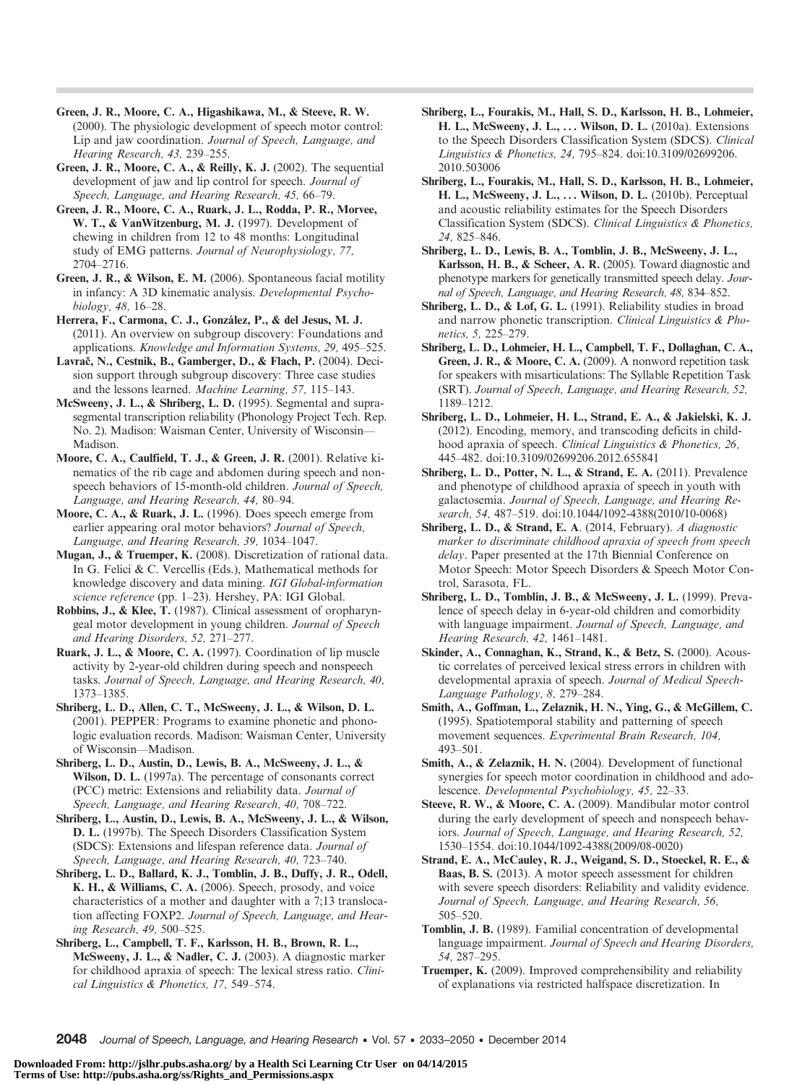Green, J. R., Moore, C. A., Higashikawa, M., & Steeve, R. W. (2000). The physiologic development of speech motor control: Lip and jaw coordination. Journal of Speech, Language, and Hearing Research, 43, 239–255.

Green, J. R., Moore, C. A., & Reilly, K. J. (2002). The sequential development of jaw and lip control for speech. Journal of Speech, Language, and Hearing Research, 45, 66–79.

Green, J. R., Moore, C. A., Ruark, J. L., Rodda, P. R., Morvee, W. T., & VanWitzenburg, M. J. (1997). Development of chewing in children from 12 to 48 months: Longitudinal study of EMG patterns. Journal of Neurophysiology, 77, 2704–2716.

Green, J. R., & Wilson, E. M. (2006). Spontaneous facial motility in infancy: A 3D kinematic analysis. Developmental Psychobiology, 48, 16–28.

Herrera, F., Carmona, C. J., González, P., & del Jesus, M. J. (2011). An overview on subgroup discovery: Foundations and applications. Knowledge and Information Systems, 29, 495–525.

Lavrač, N., Cestnik, B., Gamberger, D., & Flach, P. (2004). Decision support through subgroup discovery: Three case studies and the lessons learned. Machine Learning, 57, 115–143.

McSweeny, J. L., & Shriberg, L. D. (1995). Segmental and suprasegmental transcription reliability (Phonology Project Tech. Rep. No. 2). Madison: Waisman Center, University of Wisconsin— Madison.

Moore, C. A., Caulfield, T. J., & Green, J. R. (2001). Relative kinematics of the rib cage and abdomen during speech and nonspeech behaviors of 15-month-old children. Journal of Speech, Language, and Hearing Research, 44, 80–94.

Moore, C. A., & Ruark, J. L. (1996). Does speech emerge from earlier appearing oral motor behaviors? Journal of Speech, Language, and Hearing Research, 39, 1034–1047.

Mugan, J., & Truemper, K. (2008). Discretization of rational data. In G. Felici & C. Vercellis (Eds.), Mathematical methods for knowledge discovery and data mining. IGI Global-information science reference (pp. 1-23). Hershey, PA: IGI Global.

Robbins, J., & Klee, T. (1987). Clinical assessment of oropharyngeal motor development in young children. Journal of Speech and Hearing Disorders, 52, 271–277.

Ruark, J. L., & Moore, C. A. (1997). Coordination of lip muscle activity by 2-year-old children during speech and nonspeech tasks. Journal of Speech, Language, and Hearing Research, 40, 1373–1385.

Shriberg, L. D., Allen, C. T., McSweeny, J. L., & Wilson, D. L. (2001). PEPPER: Programs to examine phonetic and phonologic evaluation records. Madison: Waisman Center, University of Wisconsin—Madison.

Shriberg, L. D., Austin, D., Lewis, B. A., McSweeny, J. L., & Wilson, D. L. (1997a). The percentage of consonants correct (PCC) metric: Extensions and reliability data. Journal of Speech, Language, and Hearing Research, 40, 708–722.

Shriberg, L., Austin, D., Lewis, B. A., McSweeny, J. L., & Wilson, D. L. (1997b). The Speech Disorders Classification System (SDCS): Extensions and lifespan reference data. Journal of Speech, Language, and Hearing Research, 40, 723–740.

Shriberg, L. D., Ballard, K. J., Tomblin, J. B., Duffy, J. R., Odell, K. H., & Williams, C. A. (2006). Speech, prosody, and voice characteristics of a mother and daughter with a 7;13 translocation affecting FOXP2. Journal of Speech, Language, and Hearing Research, 49, 500–525.

Shriberg, L., Campbell, T. F., Karlsson, H. B., Brown, R. L., McSweeny, J. L., & Nadler, C. J. (2003). A diagnostic marker for childhood apraxia of speech: The lexical stress ratio. Clinical Linguistics & Phonetics, 17, 549–574.

- Shriberg, L., Fourakis, M., Hall, S. D., Karlsson, H. B., Lohmeier, H. L., McSweeny, J. L., ... Wilson, D. L. (2010a). Extensions to the Speech Disorders Classification System (SDCS). Clinical Linguistics & Phonetics, 24, 795–824. doi:10.3109/02699206. 2010.503006
- Shriberg, L., Fourakis, M., Hall, S. D., Karlsson, H. B., Lohmeier, H. L., McSweeny, J. L., ... Wilson, D. L. (2010b). Perceptual and acoustic reliability estimates for the Speech Disorders Classification System (SDCS). Clinical Linguistics & Phonetics, 24, 825–846.

Shriberg, L. D., Lewis, B. A., Tomblin, J. B., McSweeny, J. L., Karlsson, H. B., & Scheer, A. R. (2005). Toward diagnostic and phenotype markers for genetically transmitted speech delay. Journal of Speech, Language, and Hearing Research, 48, 834–852.

Shriberg, L. D., & Lof, G. L. (1991). Reliability studies in broad and narrow phonetic transcription. Clinical Linguistics & Phonetics, 5, 225–279.

Shriberg, L. D., Lohmeier, H. L., Campbell, T. F., Dollaghan, C. A., Green, J. R., & Moore, C. A. (2009). A nonword repetition task for speakers with misarticulations: The Syllable Repetition Task (SRT). Journal of Speech, Language, and Hearing Research, 52, 1189–1212.

Shriberg, L. D., Lohmeier, H. L., Strand, E. A., & Jakielski, K. J. (2012). Encoding, memory, and transcoding deficits in childhood apraxia of speech. Clinical Linguistics & Phonetics, 26, 445–482. doi:10.3109/02699206.2012.655841

Shriberg, L. D., Potter, N. L., & Strand, E. A. (2011). Prevalence and phenotype of childhood apraxia of speech in youth with galactosemia. Journal of Speech, Language, and Hearing Research, 54, 487–519. doi:10.1044/1092-4388(2010/10-0068)

Shriberg, L. D., & Strand, E. A. (2014, February). A diagnostic marker to discriminate childhood apraxia of speech from speech delay. Paper presented at the 17th Biennial Conference on Motor Speech: Motor Speech Disorders & Speech Motor Control, Sarasota, FL.

Shriberg, L. D., Tomblin, J. B., & McSweeny, J. L. (1999). Prevalence of speech delay in 6-year-old children and comorbidity with language impairment. Journal of Speech, Language, and Hearing Research, 42, 1461–1481.

Skinder, A., Connaghan, K., Strand, K., & Betz, S. (2000). Acoustic correlates of perceived lexical stress errors in children with developmental apraxia of speech. Journal of Medical Speech-Language Pathology, 8, 279–284.

Smith, A., Goffman, L., Zelaznik, H. N., Ying, G., & McGillem, C. (1995). Spatiotemporal stability and patterning of speech movement sequences. Experimental Brain Research, 104, 493–501.

Smith, A., & Zelaznik, H. N. (2004). Development of functional synergies for speech motor coordination in childhood and adolescence. Developmental Psychobiology, 45, 22–33.

Steeve, R. W., & Moore, C. A. (2009). Mandibular motor control during the early development of speech and nonspeech behaviors. Journal of Speech, Language, and Hearing Research, 52, 1530–1554. doi:10.1044/1092-4388(2009/08-0020)

Strand, E. A., McCauley, R. J., Weigand, S. D., Stoeckel, R. E., & Baas, B. S. (2013). A motor speech assessment for children with severe speech disorders: Reliability and validity evidence. Journal of Speech, Language, and Hearing Research, 56, 505–520.

Tomblin, J. B. (1989). Familial concentration of developmental language impairment. Journal of Speech and Hearing Disorders, 54, 287–295.

Truemper, K. (2009). Improved comprehensibility and reliability of explanations via restricted halfspace discretization. In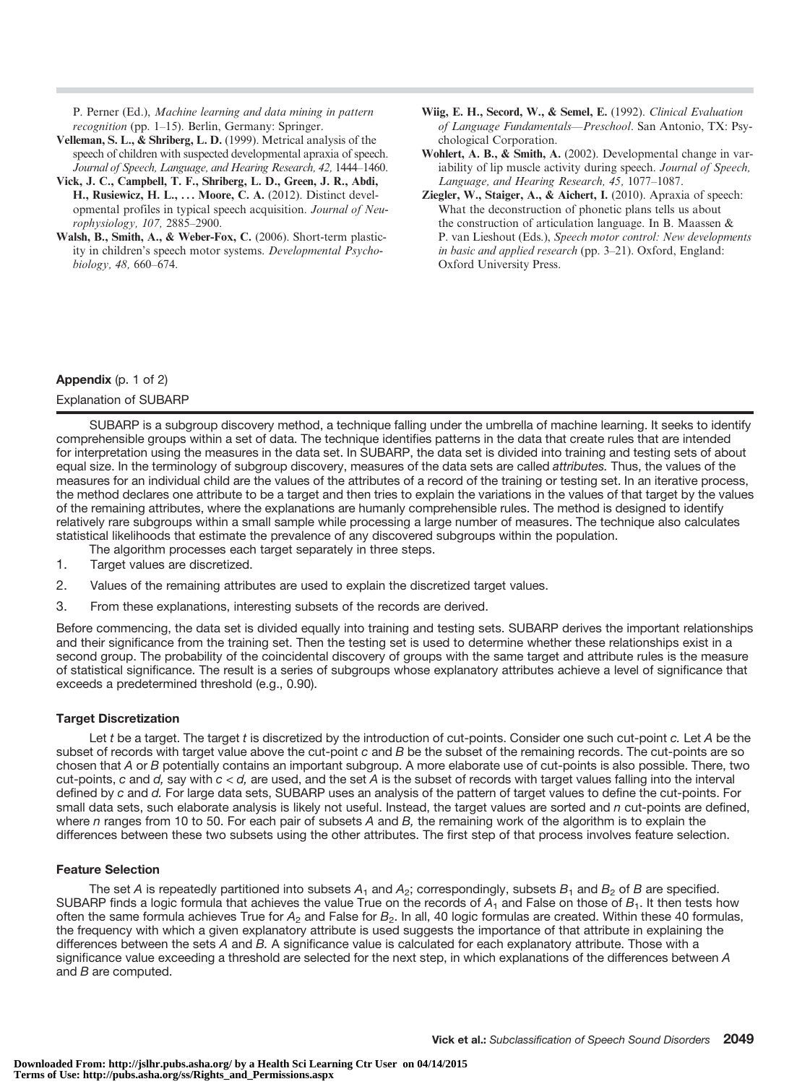P. Perner (Ed.), Machine learning and data mining in pattern recognition (pp. 1–15). Berlin, Germany: Springer.

- Velleman, S. L., & Shriberg, L. D. (1999). Metrical analysis of the speech of children with suspected developmental apraxia of speech. Journal of Speech, Language, and Hearing Research, 42, 1444–1460.
- Vick, J. C., Campbell, T. F., Shriberg, L. D., Green, J. R., Abdi, H., Rusiewicz, H. L., ... Moore, C. A. (2012). Distinct developmental profiles in typical speech acquisition. Journal of Neurophysiology, 107, 2885–2900.
- Walsh, B., Smith, A., & Weber-Fox, C. (2006). Short-term plasticity in children's speech motor systems. Developmental Psychobiology, 48, 660–674.
- Wiig, E. H., Secord, W., & Semel, E. (1992). Clinical Evaluation of Language Fundamentals—Preschool. San Antonio, TX: Psychological Corporation.
- Wohlert, A. B., & Smith, A. (2002). Developmental change in variability of lip muscle activity during speech. Journal of Speech, Language, and Hearing Research, 45, 1077–1087.
- Ziegler, W., Staiger, A., & Aichert, I. (2010). Apraxia of speech: What the deconstruction of phonetic plans tells us about the construction of articulation language. In B. Maassen & P. van Lieshout (Eds.), Speech motor control: New developments in basic and applied research (pp. 3–21). Oxford, England: Oxford University Press.

#### Appendix (p. 1 of 2)

#### Explanation of SUBARP

SUBARP is a subgroup discovery method, a technique falling under the umbrella of machine learning. It seeks to identify comprehensible groups within a set of data. The technique identifies patterns in the data that create rules that are intended for interpretation using the measures in the data set. In SUBARP, the data set is divided into training and testing sets of about equal size. In the terminology of subgroup discovery, measures of the data sets are called attributes. Thus, the values of the measures for an individual child are the values of the attributes of a record of the training or testing set. In an iterative process, the method declares one attribute to be a target and then tries to explain the variations in the values of that target by the values of the remaining attributes, where the explanations are humanly comprehensible rules. The method is designed to identify relatively rare subgroups within a small sample while processing a large number of measures. The technique also calculates statistical likelihoods that estimate the prevalence of any discovered subgroups within the population.

- The algorithm processes each target separately in three steps.
- 1. Target values are discretized.
- 2. Values of the remaining attributes are used to explain the discretized target values.
- 3. From these explanations, interesting subsets of the records are derived.

Before commencing, the data set is divided equally into training and testing sets. SUBARP derives the important relationships and their significance from the training set. Then the testing set is used to determine whether these relationships exist in a second group. The probability of the coincidental discovery of groups with the same target and attribute rules is the measure of statistical significance. The result is a series of subgroups whose explanatory attributes achieve a level of significance that exceeds a predetermined threshold (e.g., 0.90).

#### Target Discretization

Let t be a target. The target t is discretized by the introduction of cut-points. Consider one such cut-point c. Let A be the subset of records with target value above the cut-point c and B be the subset of the remaining records. The cut-points are so chosen that A or B potentially contains an important subgroup. A more elaborate use of cut-points is also possible. There, two cut-points, c and d, say with  $c < d$ , are used, and the set A is the subset of records with target values falling into the interval defined by c and d. For large data sets, SUBARP uses an analysis of the pattern of target values to define the cut-points. For small data sets, such elaborate analysis is likely not useful. Instead, the target values are sorted and n cut-points are defined, where n ranges from 10 to 50. For each pair of subsets A and B, the remaining work of the algorithm is to explain the differences between these two subsets using the other attributes. The first step of that process involves feature selection.

#### Feature Selection

The set A is repeatedly partitioned into subsets  $A_1$  and  $A_2$ ; correspondingly, subsets  $B_1$  and  $B_2$  of B are specified. SUBARP finds a logic formula that achieves the value True on the records of  $A_1$  and False on those of  $B_1$ . It then tests how often the same formula achieves True for  $A_2$  and False for  $B_2$ . In all, 40 logic formulas are created. Within these 40 formulas, the frequency with which a given explanatory attribute is used suggests the importance of that attribute in explaining the differences between the sets A and B. A significance value is calculated for each explanatory attribute. Those with a significance value exceeding a threshold are selected for the next step, in which explanations of the differences between A and B are computed.